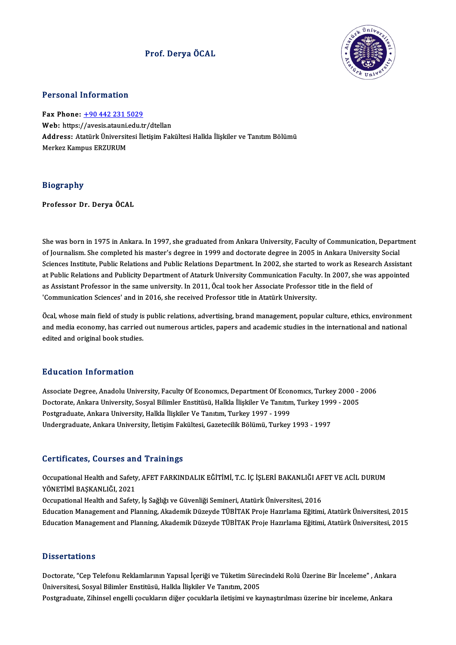## Prof. DeryaÖCAL



## Personal Information

Fax Phone: +90 442 231 5029 Fax Phone: <u>+90 442 231 5029</u><br>Web: https:/[/avesis.atauni.edu.t](tel:+90 442 231 5029)r/dtellan<br>Addressy Atatürk Üniversitesi İletisim Feli Address: Atatürk Üniversitesi İletişim Fakültesi Halkla İlişkiler ve Tanıtım Bölümü<br>Merkez Kampus ERZURUM Web: https://avesis.atauni.<br>Address: Atatürk Üniversit<br>Merkez Kampus ERZURUM

## Biography

Professor Dr. Derya ÖCAL

She was born in 1975 in Ankara. In 1997, she graduated from Ankara University, Faculty of Communication, Department<br>Of Journalism, She completed bis master's degree in 1999 and dectarate degree in 2005 in Ankara University She was born in 1975 in Ankara. In 1997, she graduated from Ankara University, Faculty of Communication, Depart<br>Of Journalism. She completed his master's degree in 1999 and doctorate degree in 2005 in Ankara University Soc She was born in 1975 in Ankara. In 1997, she graduated from Ankara University, Faculty of Communication, Departmen<br>of Journalism. She completed his master's degree in 1999 and doctorate degree in 2005 in Ankara University of Journalism. She completed his master's degree in 1999 and doctorate degree in 2005 in Ankara University Social<br>Sciences Institute, Public Relations and Public Relations Department. In 2002, she started to work as Resear Sciences Institute, Public Relations and Public Relations Department. In 2002, she started to work as Resear<br>at Public Relations and Publicity Department of Ataturk University Communication Faculty. In 2007, she wa<br>as Assi at Public Relations and Publicity Department of Ataturk University Communication Faculty. In 2007, she was appointed<br>as Assistant Professor in the same university. In 2011, Öcal took her Associate Professor title in the fi

The Maximum of Saint Protessor in the same direct style in 2011, ocal took her Associate Protessor the in the held of<br>Communication Sciences' and in 2016, she received Professor title in Atatürk University.<br>Ocal, whose mai donmanication sciences and in 2010, site received Froressor due in ridicular oniversity.<br>Öcal, whose main field of study is public relations, advertising, brand management, popular culture, ethics, environmen<br>and media eco and media economy, has carried out numerous articles, papers and academic studies in the international and national<br>edited and original book studies.

## Education Information

Education Information<br>Associate Degree, Anadolu University, Faculty Of Economics, Department Of Economics, Turkey 2000 - 2006<br>Destarate Ankara University Sesual Bilimler Enstitucii, Hallda İliakiler Ve Tanıtım Turkey 1999 Buucution Tittor Interion<br>Associate Degree, Anadolu University, Faculty Of Economics, Department Of Economics, Turkey 2000 - :<br>Doctorate, Ankara University, Sosyal Bilimler Enstitüsü, Halkla İlişkiler Ve Tanıtım, Turkey 19 Postgraduate, Ankara University, Halkla İlişkiler Ve Tanıtım, Turkey 1997 - 1999<br>Undergraduate, Ankara University, İletişim Fakültesi, Gazetecilik Bölümü, Turkey 1993 - 1997 Doctorate, Ankara University, Sosyal Bilimler Enstitüsü, Halkla İlişkiler Ve Tanıtım, Turkey 1999 - 2005

## Certificates, Courses and Trainings

Certificates, Courses and Trainings<br>Occupational Health and Safety, AFET FARKINDALIK EĞİTİMİ, T.C. İÇ İŞLERİ BAKANLIĞI AFET VE ACİL DURUM<br>YÖNETİMİ RASKANLIĞI 2021 Sof enroaces, Sourses an<br>Occupational Health and Safety<br>YÖNETİMİ BAŞKANLIĞI, 2021<br>Occupational Health and Safety Occupational Health and Safety, AFET FARKINDALIK EĞİTİMİ, T.C. İÇ İŞLERİ BAKANLIĞI AF<br>YÖNETİMİ BAŞKANLIĞI, 2021<br>Occupational Health and Safety, İş Sağlığı ve Güvenliği Semineri, Atatürk Üniversitesi, 2016<br>Education Managem YÖNETİMİ BAŞKANLIĞI, 2021<br>Occupational Health and Safety, İş Sağlığı ve Güvenliği Semineri, Atatürk Üniversitesi, 2016<br>Education Management and Planning, Akademik Düzeyde TÜBİTAK Proje Hazırlama Eğitimi, Atatürk Üniversite

Education Management and Planning, Akademik Düzeyde TÜBİTAK Proje Hazırlama Eğitimi, Atatürk Üniversitesi, 2015

## **Dissertations**

Dissertations<br>Doctorate, "Cep Telefonu Reklamlarının Yapısal İçeriği ve Tüketim Sürecindeki Rolü Üzerine Bir İnceleme" , Ankara<br>Üniversitesi, Sesval Bilimler Enstitüsü, Halkla İliskiler Ve Tanıtım 2005 D'issesi tatreme<br>Doctorate, "Cep Telefonu Reklamlarının Yapısal İçeriği ve Tüketim Süre<br>Üniversitesi, Sosyal Bilimler Enstitüsü, Halkla İlişkiler Ve Tanıtım, 2005<br>Postaraduata, Zibineal angelli socukların diğer socuklarla Üniversitesi, Sosyal Bilimler Enstitüsü, Halkla İlişkiler Ve Tanıtım, 2005<br>Postgraduate, Zihinsel engelli çocukların diğer çocuklarla iletişimi ve kaynaştırılması üzerine bir inceleme, Ankara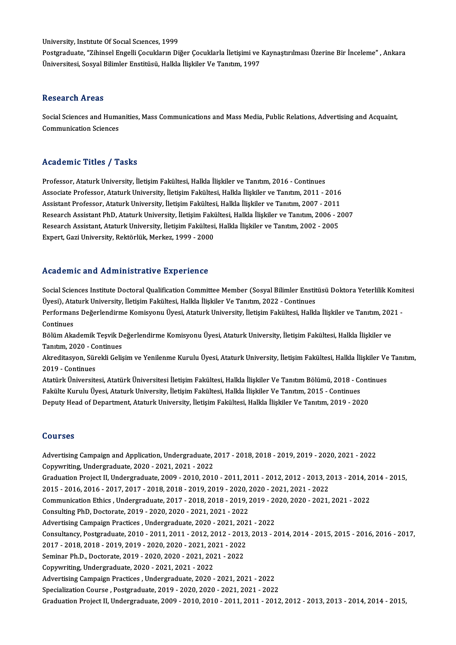University, Institute Of Social Sciences, 1999

Postgraduate, "Zihinsel Engelli Çocukların Diğer Çocuklarla İletişimi ve Kaynaştırılması Üzerine Bir İnceleme" , Ankara Üniversitesi, Sosyal Bilimler Enstitüsü, Halkla İlişkiler Ve Tanıtım, 1997

### Research Areas

Research Areas<br>Social Sciences and Humanities, Mass Communications and Mass Media, Public Relations, Advertising and Acquaint,<br>Communication Sciences **Communication Sciences**<br>Social Sciences and Huma<br>Communication Sciences

# Communication Sciences<br>Academic Titles / Tasks

Professor, Ataturk University, İletisim Fakültesi, Halkla İlişkiler ve Tanıtım, 2016 - Continues Associate Articus 7 - 1991<br>Professor, Ataturk University, İletişim Fakültesi, Halkla İlişkiler ve Tanıtım, 2016 - Continues<br>Associate Professor, Ataturk University, İletişim Fakültesi, Halkla İlişkiler ve Tanıtım, 2011 - 2 Professor, Ataturk University, İletişim Fakültesi, Halkla İlişkiler ve Tanıtım, 2016 - Continues<br>Associate Professor, Ataturk University, İletişim Fakültesi, Halkla İlişkiler ve Tanıtım, 2011 - 2016<br>Assistant Professor, At Associate Professor, Ataturk University, İletişim Fakültesi, Halkla İlişkiler ve Tanıtım, 2011 - 2016<br>Assistant Professor, Ataturk University, İletişim Fakültesi, Halkla İlişkiler ve Tanıtım, 2007 - 2011<br>Research Assistant Assistant Professor, Ataturk University, İletişim Fakültesi, Halkla İlişkiler ve Tanıtım, 2007 - 2011<br>Research Assistant PhD, Ataturk University, İletişim Fakültesi, Halkla İlişkiler ve Tanıtım, 2006 - 2007<br>Research Assist Expert, Gazi University, Rektörlük, Merkez, 1999 - 2000

## Academic and Administrative Experience

Academic and Administrative Experience<br>Social Sciences Institute Doctoral Qualification Committee Member (Sosyal Bilimler Enstitüsü Doktora Yeterlilik Komitesi<br>Üresi), Ataturk University, İletisim Fekültesi, Hallda İliskil Tectu entre unu Trummmeerucry'e Enperience<br>Social Sciences Institute Doctoral Qualification Committee Member (Sosyal Bilimler Enstit<br>Üyesi), Ataturk University, İletişim Fakültesi, Halkla İlişkiler Ve Tanıtım, 2022 - Conti Social Sciences Institute Doctoral Qualification Committee Member (Sosyal Bilimler Enstitüsü Doktora Yeterlilik Komi<br>Üyesi), Ataturk University, İletişim Fakültesi, Halkla İlişkiler Ve Tanıtım, 2022 - Continues<br>Performans Üyesi), Ata<br>Performan<br>Continues<br>Pölüm Aka Performans Değerlendirme Komisyonu Üyesi, Ataturk University, İletişim Fakültesi, Halkla İlişkiler ve Tanıtım, 202<br>Continues<br>Bölüm Akademik Teşvik Değerlendirme Komisyonu Üyesi, Ataturk University, İletişim Fakültesi, Halk Continues<br>Bölüm Akademik Teşvik Değerlendirme Komisyonu Üyesi, Ataturk University, İletişim Fakültesi, Halkla İlişkiler ve<br>Tanıtım, 2020 - Continues Bölüm Akademik Teşvik Değerlendirme Komisyonu Üyesi, Ataturk University, İletişim Fakültesi, Halkla İlişkiler ve<br>Tanıtım, 2020 - Continues<br>Akreditasyon, Sürekli Gelişim ve Yenilenme Kurulu Üyesi, Ataturk University, İletiş Tanıtım, 2020 - Continues<br>Akreditasyon, Sür<br>2019 - Continues<br>Atatürk Üniversite Akreditasyon, Sürekli Gelişim ve Yenilenme Kurulu Üyesi, Ataturk University, İletişim Fakültesi, Halkla İlişkiler Ve<br>2019 - Continues<br>Atatürk Üniversitesi, Atatürk Üniversitesi İletişim Fakültesi, Halkla İlişkiler Ve Tanıt 2019 - Continues<br>Atatürk Üniversitesi, Atatürk Üniversitesi İletişim Fakültesi, Halkla İlişkiler Ve Tanıtım Bölümü, 2018 - Co<br>Fakülte Kurulu Üyesi, Ataturk University, İletişim Fakültesi, Halkla İlişkiler Ve Tanıtım, 2015 Atatürk Üniversitesi, Atatürk Üniversitesi İletişim Fakültesi, Halkla İlişkiler Ve Tanıtım Bölümü, 2018 - Cont<br>Fakülte Kurulu Üyesi, Ataturk University, İletişim Fakültesi, Halkla İlişkiler Ve Tanıtım, 2015 - Continues<br>Dep Deputy Head of Department, Ataturk University, İletişim Fakültesi, Halkla İlişkiler Ve Tanıtım, 2019 - 2020<br>Courses Courses<br>Advertising Campaign and Application, Undergraduate, 2017 - 2018, 2018 - 2019, 2019 - 2020, 2021 - 2022<br>Convertives Undergraduate, 2020, 2021, 2021, 2022 Sources<br>Advertising Campaign and Application, Undergraduate, 2<br>Copywriting, Undergraduate, 2020 - 2021, 2021 - 2022<br>Creduation Preject II Undergraduate, 2009, 2010, 2011

Advertising Campaign and Application, Undergraduate, 2017 - 2018, 2018 - 2019, 2019 - 2020, 2021 - 2022<br>Copywriting, Undergraduate, 2020 - 2021, 2021 - 2022<br>Graduation Project II, Undergraduate, 2009 - 2010, 2010 -2011, 20 Copywriting, Undergraduate, 2020 - 2021, 2021 - 2022<br>Graduation Project II, Undergraduate, 2009 - 2010, 2010 - 2011, 2011 - 2012, 2012 - 2013, 2<br>2015 - 2016, 2016 - 2017, 2017 - 2018, 2018 - 2019, 2019 - 2020, 2020 - 2021, Graduation Project II, Undergraduate, 2009 - 2010, 2010 - 2011, 2011 - 2012, 2012 - 2013, 2013 - 2014, 2<br>2015 - 2016, 2016 - 2017, 2017 - 2018, 2018 - 2019, 2019 - 2020, 2020 - 2021, 2021 - 2022<br>Communication Ethics , Unde 2015 - 2016, 2016 - 2017, 2017 - 2018, 2018 - 2019, 2019 - 2020, 2018 - 2020, 2018 - 2019, 2018 - 2019, 2021<br>Communication Ethics , Undergraduate, 2017 - 2018, 2018 - 2019, 2021<br>Consulting PhD, Doctorate, 2019 - 2020, 2020 Communication Ethics , Undergraduate, 2017 - 2018, 2018 - 2019, 2019 - 2020, 2020 - 2021, 2021 - 2022<br>Consulting PhD, Doctorate, 2019 - 2020, 2020 - 2021, 2021 - 2022 Consulting PhD, Doctorate, 2019 - 2020, 2020 - 2021, 2021 - 2022<br>Advertising Campaign Practices , Undergraduate, 2020 - 2021, 2021 - 2022<br>Consultancy, Postgraduate, 2010 - 2011, 2011 - 2012, 2012 - 2013, 2013 - 2014, 2014 Advertising Campaign Practices , Undergraduate, 2020 - 2021, 2021 - 2022<br>Consultancy, Postgraduate, 2010 - 2011, 2011 - 2012, 2012 - 2013, 2013 - 2<br>2017 - 2018, 2018 - 2019, 2019 - 2020, 2020 - 2021, 2021 - 2022<br>Seminar Ph Consultancy, Postgraduate, 2010 - 2011, 2011 - 2012, 2012 - 2013<br>2017 - 2018, 2018 - 2019, 2019 - 2020, 2020 - 2021, 2021 - 2022<br>Seminar Ph.D., Doctorate, 2019 - 2020, 2020 - 2021, 2021 - 2022<br>Conveniting Undergraduate, 20 2017 - 2018, 2018 - 2019, 2019 - 2020, 2020 - 2021, 2021 - 2022<br>Seminar Ph.D., Doctorate, 2019 - 2020, 2020 - 2021, 2021 - 2022<br>Copywriting, Undergraduate, 2020 - 2021, 2021 - 2022 AdvertisingCampaignPractices ,Undergraduate,2020 -2021,2021 -2022 SpecializationCourse ,Postgraduate,2019 -2020,2020 -2021,2021 -2022 Graduation Project II, Undergraduate, 2009 - 2010, 2010 - 2011, 2011 - 2012, 2012 - 2013, 2013 - 2014, 2014 - 2015,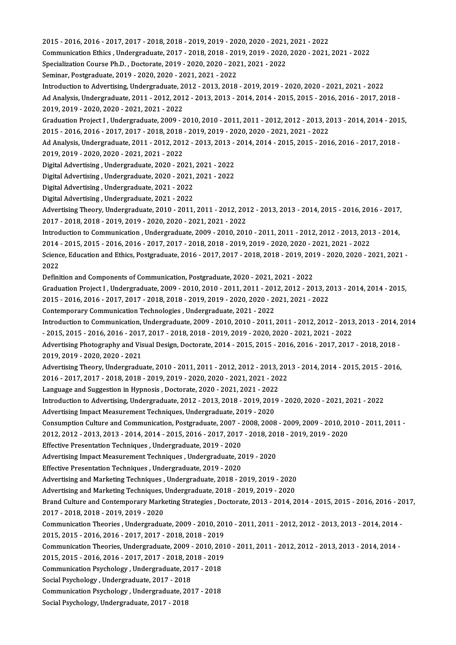2015 -2016,2016 -2017,2017 -2018,2018 -2019,2019 -2020,2020 -2021,2021 -2022 2015 - 2016, 2016 - 2017, 2017 - 2018, 2018 - 2019, 2019 - 2020, 2020 - 2021, 2021 - 2022<br>Communication Ethics , Undergraduate, 2017 - 2018, 2018 - 2019, 2019 - 2020, 2020 - 2021, 2021 - 2022<br>Spesialization Course Ph.D., D 2015 - 2016, 2016 - 2017, 2017 - 2018, 2018 - 2019, 2019 - 2020, 2020 - 2021,<br>Communication Ethics , Undergraduate, 2017 - 2018, 2018 - 2019, 2019 - 2020,<br>Specialization Course Ph.D. , Doctorate, 2019 - 2020, 2020 - 2021, Communication Ethics , Undergraduate, 2017 - 2018, 2018 - 2019, 2019 - 2020, 2020 - 2021, 2021 - 2022<br>Specialization Course Ph.D. , Doctorate, 2019 - 2020, 2020 - 2021, 2021 - 2022<br>Seminar, Postgraduate, 2019 - 2020, 2020 Specialization Course Ph.D. , Doctorate, 2019 - 2020, 2020 - 2021, 2021 - 2022<br>Seminar, Postgraduate, 2019 - 2020, 2020 - 2021, 2021 - 2022<br>Introduction to Advertising, Undergraduate, 2012 - 2013, 2018 - 2019, 2019 - 2020, Seminar, Postgraduate, 2019 - 2020, 2020 - 2021, 2021 - 2022<br>Introduction to Advertising, Undergraduate, 2012 - 2013, 2018 - 2019, 2019 - 2020, 2020 - 2021, 2021 - 2022<br>Ad Analysis, Undergraduate, 2011 - 2012, 2012 - 2013, Introduction to Advertising, Undergraduate, 2<br>Ad Analysis, Undergraduate, 2011 - 2012, 201<br>2019, 2019 - 2020, 2020 - 2021, 2021 - 2022<br>Craduation Project J. Undergraduate, 2009, 2 Ad Analysis, Undergraduate, 2011 - 2012, 2012 - 2013, 2013 - 2014, 2014 - 2015, 2015 - 2016, 2016 - 2017, 2018<br>2019, 2019 - 2020, 2020 - 2021, 2021 - 2022<br>Graduation Project I , Undergraduate, 2009 - 2010, 2010 - 2011, 201 2019, 2019 - 2020, 2020 - 2021, 2021 - 2022<br>Graduation Project I , Undergraduate, 2009 - 2010, 2010 - 2011, 2011 - 2012, 2012 - 2013, 2013 - 2014, 2014 - 2015,<br>2015 - 2016, 2016 - 2017, 2017 - 2018, 2018 - 2019, 2019 - 202 Graduation Project I , Undergraduate, 2009 - 2010, 2010 - 2011, 2011 - 2012, 2012 - 2013, 2013 - 2014, 2014 - 201<br>2015 - 2016, 2016 - 2017, 2017 - 2018, 2018 - 2019, 2019 - 2020, 2020 - 2021, 2021 - 2022<br>Ad Analysis, Under 2015 - 2016, 2016 - 2017, 2017 - 2018, 2018<br>Ad Analysis, Undergraduate, 2011 - 2012, 201<br>2019, 2019 - 2020, 2020 - 2021, 2021 - 2022<br>Digital Advantising, Undergraduate, 2020, 20 Ad Analysis, Undergraduate, 2011 - 2012, 2012 - 2013, 2013 -<br>2019, 2019 - 2020, 2020 - 2021, 2021 - 2022<br>Digital Advertising , Undergraduate, 2020 - 2021, 2021 - 2022<br>Digital Advertising , Undergraduate, 2020 - 2021, 2021, 2019, 2019 - 2020, 2020 - 2021, 2021 - 2022<br>Digital Advertising , Undergraduate, 2020 - 2021, 2021 - 2022<br>Digital Advertising , Undergraduate, 2020 - 2021, 2021 - 2022 Digital Advertising , Undergraduate, 2020 - 2021,<br>Digital Advertising , Undergraduate, 2020 - 2021,<br>Digital Advertising , Undergraduate, 2021 - 2022<br>Digital Advertising , Undergraduate, 2021 - 2022 Digital Advertising , Undergraduate, 2020 - 2021,<br>Digital Advertising , Undergraduate, 2021 - 2022<br>Digital Advertising , Undergraduate, 2021 - 2022<br>Advertising Theory, Undergraduate, 2021 - 2022 Digital Advertising , Undergraduate, 2021 - 2022<br>Digital Advertising , Undergraduate, 2021 - 2022<br>Advertising Theory, Undergraduate, 2010 - 2011, 2011 - 2012, 2012 - 2013, 2013 - 2014, 2015 - 2016, 2016 - 2017,<br>2017 - 2018 Digital Advertising , Undergraduate, 2021 - 2022<br>Advertising Theory, Undergraduate, 2010 - 2011, 2011 - 2012, 201<br>2017 - 2018, 2018 - 2019, 2019 - 2020, 2020 - 2021, 2021 - 2022<br>Introduction to Communication, Undergraduate Advertising Theory, Undergraduate, 2010 - 2011, 2011 - 2012, 2012 - 2013, 2013 - 2014, 2015 - 2016, 2016 - 2017<br>2017 - 2018, 2018 - 2019, 2019 - 2020, 2020 - 2021, 2021 - 2022<br>Introduction to Communication , Undergraduate, 2017 - 2018, 2018 - 2019, 2019 - 2020, 2020 - 2021, 2021 - 2022<br>Introduction to Communication , Undergraduate, 2009 - 2010, 2010 - 2011, 2011 - 2012, 2012 - 2013, 201<br>2014 - 2015, 2015 - 2016, 2016 - 2017, 2017 - 2018, 201 Introduction to Communication , Undergraduate, 2009 - 2010, 2010 - 2011, 2011 - 2012, 2012 - 2013, 2013 - 2014,<br>2014 - 2015, 2015 - 2016, 2016 - 2017, 2017 - 2018, 2018 - 2019, 2019 - 2020, 2020 - 2021, 2021 - 2022<br>Science 2014<br>Scienc<br>2022<br>Defini Science, Education and Ethics, Postgraduate, 2016 - 2017, 2017 - 2018, 2018 - 2019, 201<br>2022<br>Definition and Components of Communication, Postgraduate, 2020 - 2021, 2021 - 2022<br>Craduation Project L. Undergraduate, 2009, 201 2022<br>Definition and Components of Communication, Postgraduate, 2020 - 2021, 2021 - 2022<br>Graduation Project I , Undergraduate, 2009 - 2010, 2010 - 2011, 2011 - 2012, 2012 - 2013, 2013 - 2014, 2014 - 2015, Definition and Components of Communication, Postgraduate, 2020 - 2021, 2021 - 2022<br>Graduation Project I , Undergraduate, 2009 - 2010, 2010 - 2011, 2011 - 2012, 2012 - 2013, 20<br>2015 - 2016, 2016 - 2017, 2017 - 2018, 2018 - Graduation Project I , Undergraduate, 2009 - 2010, 2010 - 2011, 2011 - 201<br>2015 - 2016, 2016 - 2017, 2017 - 2018, 2018 - 2019, 2019 - 2020, 2020 - 20<br>Contemporary Communication Technologies , Undergraduate, 2021 - 2022<br>Int 2015 - 2016, 2016 - 2017, 2017 - 2018, 2018 - 2019, 2019 - 2020, 2020 - 2021, 2021 - 2022<br>Contemporary Communication Technologies , Undergraduate, 2021 - 2022<br>Introduction to Communication, Undergraduate, 2009 - 2010, 2010 Contemporary Communication Technologies , Undergraduate, 2021 - 2022<br>Introduction to Communication, Undergraduate, 2009 - 2010, 2010 - 2011, 2011 - 2012, 2012 - 2013<br>- 2015, 2015 - 2016, 2016 - 2017, 2017 - 2018, 2018 - 20 Introduction to Communication, Undergraduate, 2009 - 2010, 2010 - 2011, 2011 - 2012, 2012 - 2013, 2013 - 2014,<br>- 2015, 2015 - 2016, 2016 - 2017, 2017 - 2018, 2018 - 2019, 2019 - 2020, 2020 - 2021, 2021 - 2022<br>Advertising P - 2015, 2015 - 2016, 2016 - 2017, 2017 - 2018, 2018 - 2019, 2019 - 2020, 2020 - 2021, 2021 - 2022<br>Advertising Photography and Visual Design, Doctorate, 2014 - 2015, 2015 - 2016, 2016 - 2017, 2017 - 2018, 2018<br>2019, 2019 - Advertising Photography and Visual Design, Doctorate, 2014 - 2015, 2015 - 2016, 2016 - 2017, 2017 - 2018, 2018<br>2019, 2019 - 2020, 2020 - 2021<br>Advertising Theory, Undergraduate, 2010 - 2011, 2011 - 2012, 2012 - 2013, 2013 -2019, 2019 - 2020, 2020 - 2021<br>Advertising Theory, Undergraduate, 2010 - 2011, 2011 - 2012, 2012 - 2013, 201<br>2016 - 2017, 2017 - 2018, 2018 - 2019, 2019 - 2020, 2020 - 2021, 2021 - 2022<br>Language and Suggestion in Hymnesis, Advertising Theory, Undergraduate, 2010 - 2011, 2011 - 2012, 2012 - 2013, 2016 - 2017, 2017 - 2018, 2018 - 2019, 2019 - 2020, 2020 - 2021, 2021 - 2022<br>Language and Suggestion in Hypnosis , Doctorate, 2020 - 2021, 2021 - 20 2016 - 2017, 2017 - 2018, 2018 - 2019, 2019 - 2020, 2020 - 2021, 2021 - 2022<br>Language and Suggestion in Hypnosis , Doctorate, 2020 - 2021, 2021 - 2022<br>Introduction to Advertising, Undergraduate, 2012 - 2013, 2018 - 2019, 2 Language and Suggestion in Hypnosis , Doctorate, 2020 - 2021, 2021 - 2022<br>Introduction to Advertising, Undergraduate, 2012 - 2013, 2018 - 2019, 2019<br>Advertising Impact Measurement Techniques, Undergraduate, 2019 - 2020<br>Con Introduction to Advertising, Undergraduate, 2012 - 2013, 2018 - 2019, 2019 - 2020, 2020 - 2021, 2021 - 2022<br>Advertising Impact Measurement Techniques, Undergraduate, 2019 - 2020<br>Consumption Culture and Communication, Postg Advertising Impact Measurement Techniques, Undergraduate, 2019 - 2020<br>Consumption Culture and Communication, Postgraduate, 2007 - 2008, 2008 - 2009, 2009 - 2010, 20<br>2012, 2012 - 2013, 2013 - 2014, 2014 - 2015, 2016 - 2017, Consumption Culture and Communication, Postgraduate, 2007 - 2012, 2012 - 2013, 2013 - 2014, 2014 - 2015, 2016 - 2017, 2017<br>Effective Presentation Techniques , Undergraduate, 2019 - 2020<br>Advertising Impact Measurement Techn 2012, 2012 - 2013, 2013 - 2014, 2014 - 2015, 2016 - 2017, 2017 - 2018, 201<br>Effective Presentation Techniques , Undergraduate, 2019 - 2020<br>Advertising Impact Measurement Techniques , Undergraduate, 2019 - 2020<br>Effective Pre Effective Presentation Techniques , Undergraduate, 2019 - 2020<br>Advertising Impact Measurement Techniques , Undergraduate, 20<br>Effective Presentation Techniques , Undergraduate, 2019 - 2020<br>Advertising and Marketing Techniqu Advertising Impact Measurement Techniques , Undergraduate, 2019 - 2020<br>Effective Presentation Techniques , Undergraduate, 2019 - 2020<br>Advertising and Marketing Techniques , Undergraduate, 2018 - 2019, 2019 - 2020<br>Advertisi Effective Presentation Techniques , Undergraduate, 2019 - 2020<br>Advertising and Marketing Techniques , Undergraduate, 2018 - 2019, 2019 - 2020<br>Advertising and Marketing Techniques, Undergraduate, 2018 - 2019, 2019 - 2020<br>Pr Advertising and Marketing Techniques , Undergraduate, 2018 - 2019, 2019 - 2020<br>Advertising and Marketing Techniques, Undergraduate, 2018 - 2019, 2019 - 2020<br>Brand Culture and Contemporary Marketing Strategies , Doctorate, Advertising and Marketing Techniques,<br>Brand Culture and Contemporary Mark<br>2017 - 2018, 2018 - 2019, 2019 - 2020<br>Communisation Theories, Undergradua Brand Culture and Contemporary Marketing Strategies , Doctorate, 2013 - 2014, 2014 - 2015, 2015 - 2016, 2016 - 20<br>2017 - 2018, 2018 - 2019, 2019 - 2020<br>Communication Theories , Undergraduate, 2009 - 2010, 2010 - 2011, 2011 2017 - 2018, 2018 - 2019, 2019 - 2020<br>Communication Theories , Undergraduate, 2009 - 2010, 2010 - 2011, 2011 - 2012, 2012 - 2013, 2013 - 2014, 2014 -<br>2015, 2015 - 2016, 2016 - 2017, 2017 - 2018, 2018 - 2019 CommunicationTheories,Undergraduate,2009 -2010,2010 -2011,2011 -2012,2012 -2013,2013 -2014,2014 - 2015, 2015 - 2016, 2016 - 2017, 2017 - 2018, 2018 - 2019<br>Communication Theories, Undergraduate, 2009 - 2010, 201<br>2015, 2015 - 2016, 2016 - 2017, 2017 - 2018, 2018 - 2019<br>Communication Bevebelogy, Undergraduate, 2017, 2018 Communication Theories, Undergraduate, 2009 - 2010, 20<br>2015, 2015 - 2016, 2016 - 2017, 2017 - 2018, 2018 - 2019<br>Communication Psychology , Undergraduate, 2017 - 2018<br>Social Psychology , Undergraduate, 2017 - 2018 2015, 2015 - 2016, 2016 - 2017, 2017 - 2018, 20<br>Communication Psychology , Undergraduate, 201<br>Social Psychology , Undergraduate, 2017 - 2018<br>Communication Psychology , Undergraduate, 201 Communication Psychology , Undergraduate, 2017 - 2018<br>Social Psychology , Undergraduate, 2017 - 2018<br>Communication Psychology , Undergraduate, 2017 - 2018 Social Psychology, Undergraduate, 2017 - 2018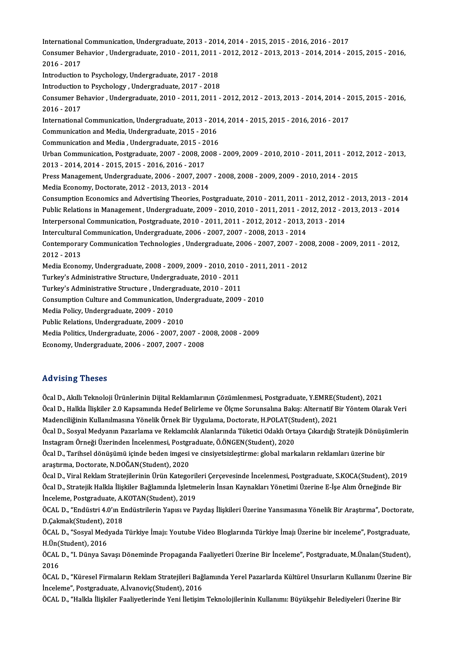International Communication, Undergraduate, 2013 - 2014, 2014 - 2015, 2015 - 2016, 2016 - 2017<br>Consumer Pehevier, Undergraduate, 2010, 2011, 2011, 2012, 2012, 2013, 2013, 2014, 2014, 2 International Communication, Undergraduate, 2013 - 2014, 2014 - 2015, 2015 - 2016, 2016 - 2017<br>Consumer Behavior , Undergraduate, 2010 - 2011, 2011 - 2012, 2012 - 2013, 2013 - 2014, 2014 - 2015, 2015 - 2016, International<br>Consumer Be<br>2016 - 2017<br>Introduction Consumer Behavior , Undergraduate, 2010 - 2011, 2011 -<br>2016 - 2017<br>Introduction to Psychology, Undergraduate, 2017 - 2018<br>Introduction to Psychology, Undergraduate, 2017 - 2018 2016 - 2017<br>Introduction to Psychology, Undergraduate, 2017 - 2018<br>Introduction to Psychology , Undergraduate, 2017 - 2018<br>Consumer Pehavier, Undergraduate, 2010, 2011, 2011 Introduction to Psychology, Undergraduate, 2017 - 2018<br>Introduction to Psychology , Undergraduate, 2017 - 2018<br>Consumer Behavior , Undergraduate, 2010 - 2011, 2011 - 2012, 2012 - 2013, 2013 - 2014, 2014 - 2015, 2015 - 2016 Introduction<br>Consumer Be<br>2016 - 2017<br>International Consumer Behavior , Undergraduate, 2010 - 2011, 2011 - 2012, 2012 - 2013, 2013 - 2014, 2014 - 2<br>2016 - 2017<br>International Communication, Undergraduate, 2013 - 2014, 2014 - 2015, 2015 - 2016, 2016 - 2017<br>Communication and M 2016 - 2017<br>International Communication, Undergraduate, 2013 - 2014, 2014 - 2015, 2015 - 2016, 2016 - 2017<br>Communication and Media, Undergraduate, 2015 - 2016 International Communication, Undergraduate, 2013 - 2016<br>Communication and Media, Undergraduate, 2015 - 2016<br>Communication and Media , Undergraduate, 2015 - 2016<br>Urban Communication, Pestareduate, 2007 - 2008 -2009 Communication and Media, Undergraduate, 2015 - 2016<br>Communication and Media , Undergraduate, 2015 - 2016<br>Urban Communication, Postgraduate, 2007 - 2008, 2008 - 2009, 2009 - 2010, 2010 - 2011, 2011 - 2012, 2012 - 2013,<br>2013 Communication and Media , Undergraduate, 2015 - 2<br>Urban Communication, Postgraduate, 2007 - 2008, 20<br>2013 - 2014, 2014 - 2015, 2015 - 2016, 2016 - 2017<br>Press Management, Undergraduate, 2006, 2007, 200 Urban Communication, Postgraduate, 2007 - 2008, 2008 - 2009, 2009 - 2010, 2010 - 2011, 2011 - 2013<br>2013 - 2014, 2014 - 2015, 2015 - 2016, 2016 - 2017<br>Press Management, Undergraduate, 2006 - 2007, 2007 - 2008, 2008 - 2009, 2013 - 2014, 2014 - 2015, 2015 - 2016, 2016 - 2017<br>Press Management, Undergraduate, 2006 - 2007, 2007 - 2008, 2008 - 2009, 2009 - 2010, 2014 - 2015<br>Media Economy, Doctorate, 2012 - 2013, 2013 - 2014 Press Management, Undergraduate, 2006 - 2007, 2007 - 2008, 2008 - 2009, 2009 - 2010, 2014 - 2015<br>Media Economy, Doctorate, 2012 - 2013, 2013 - 2014<br>Consumption Economics and Advertising Theories, Postgraduate, 2010 - 2011, Media Economy, Doctorate, 2012 - 2013, 2013 - 2014<br>Consumption Economics and Advertising Theories, Postgraduate, 2010 - 2011, 2011 - 2012, 2012 - 2013, 2013 - 20<br>Public Relations in Management , Undergraduate, 2009 - 2010, Consumption Economics and Advertising Theories, Postgraduate, 2010 - 2011, 2011 - 2012, 2012 - 20<br>Public Relations in Management , Undergraduate, 2009 - 2010, 2010 - 2011, 2011 - 2012, 2012 - 20<br>Interpersonal Communication Public Relations in Management , Undergraduate, 2009 - 2010, 2010 - 2011, 2011 - 2012, 2012 - 2013, 2013 - 2014<br>Interpersonal Communication, Postgraduate, 2010 - 2011, 2011 - 2012, 2012 - 2013, 2013 - 2014<br>Intercultural Co Interpersonal Communication, Postgraduate, 2010 - 2011, 2011 - 2012, 2012 - 2013, 2013 - 2014<br>Intercultural Communication, Undergraduate, 2006 - 2007, 2007 - 2008, 2013 - 2014<br>Contemporary Communication Technologies , Unde Intercultural<br>Contemporar<br>2012 - 2013<br>Media Esenes Contemporary Communication Technologies , Undergraduate, 2006 - 2007, 2007 - 200<br>2012 - 2013<br>Media Economy, Undergraduate, 2008 - 2009, 2009 - 2010, 2010 - 2011, 2011 - 2012<br>Turkey's Administrative Structure, Undergraduate 2012 - 2013<br>Media Economy, Undergraduate, 2008 - 2009, 2009 - 2010, 2010 - 2011, 2011 - 2012<br>Turkey's Administrative Structure, Undergraduate, 2010 - 2011 Media Economy, Undergraduate, 2008 - 2009, 2009 - 2010, 2010<br>Turkey's Administrative Structure, Undergraduate, 2010 - 2011<br>Turkey's Administrative Structure , Undergraduate, 2010 - 2011<br>Consumption Culture and Communisatio Turkey's Administrative Structure, Undergraduate, 2010 - 2011<br>Turkey's Administrative Structure , Undergraduate, 2010 - 2011<br>Consumption Culture and Communication, Undergraduate, 2009 - 2010<br>Modia Policy Undergraduate, 200 Turkey's Administrative Structure , Underg<br>Consumption Culture and Communication,<br>Media Policy, Undergraduate, 2009 - 2010<br>Public Polations, Undergraduate, 2009 - 20 Consumption Culture and Communication, Unc<br>Media Policy, Undergraduate, 2009 - 2010<br>Public Relations, Undergraduate, 2009 - 2010<br>Media Politics, Undergraduate, 2006 - 2007, 20 Media Policy, Undergraduate, 2009 - 2010<br>Public Relations, Undergraduate, 2009 - 2010<br>Media Politics, Undergraduate, 2006 - 2007, 2007 - 2008, 2008 - 2009<br>Feenamy, Undergraduate, 2006 - 2007, 2007, 2009 Public Relations, Undergraduate, 2009 - 2010<br>Media Politics, Undergraduate, 2006 - 2007, 2007 - 2<br>Economy, Undergraduate, 2006 - 2007, 2007 - 2008 Economy, Undergraduate, 2006 - 2007, 2007 - 2008<br>Advising Theses

**Advising Theses<br>Öcal D., Akıllı Teknoloji Ürünlerinin Dijital Reklamlarının Çözümlenmesi, Postgraduate, Y.EMRE(Student), 2021<br>Öcal D., Hallda İliakilar 2.0 Kansamında Hadaf Balinlama ve Ölema Sanunsalına Balna: Altarnatif** rıa vasing Tireses<br>Öcal D., Akıllı Teknoloji Ürünlerinin Dijital Reklamlarının Çözümlenmesi, Postgraduate, Y.EMRE(Student), 2021<br>Öcal D., Halkla İlişkiler 2.0 Kapsamında Hedef Belirleme ve Ölçme Sorunsalına Bakış: Alternat Öcal D., Akıllı Teknoloji Ürünlerinin Dijital Reklamlarının Çözümlenmesi, Postgraduate, Y.EMRE(S<br>Öcal D., Halkla İlişkiler 2.0 Kapsamında Hedef Belirleme ve Ölçme Sorunsalına Bakış: Alternatif B<br>Madenciliğinin Kullanılması Öcal D., Halkla İlişkiler 2.0 Kapsamında Hedef Belirleme ve Ölçme Sorunsalına Bakış: Alternatif Bir Yöntem Olarak Veri<br>Madenciliğinin Kullanılmasına Yönelik Örnek Bir Uygulama, Doctorate, H.POLAT(Student), 2021<br>Öcal D., So

Madenciliğinin Kullanılmasına Yönelik Örnek Bir Uygulama, Doctorate, H.POLAT(St<br>Öcal D., Sosyal Medyanın Pazarlama ve Reklamcılık Alanlarında Tüketici Odaklı Orta<br>Instagram Örneği Üzerinden İncelenmesi, Postgraduate, Ö.ÖNG Öcal D., Sosyal Medyanın Pazarlama ve Reklamcılık Alanlarında Tüketici Odaklı Ortaya Çıkardığı Stratejik Dönüşi<br>Instagram Örneği Üzerinden İncelenmesi, Postgraduate, Ö.ÖNGEN(Student), 2020<br>Öcal D., Tarihsel dönüşümü içinde

Instagram Örneği Üzerinden İncelenmesi, Postgraduate, Ö.ÖNGEN(Student), 2020<br>Öcal D., Tarihsel dönüşümü içinde beden imgesi ve cinsiyetsizleştirme: global markaların reklamları üzerine bir<br>araştırma, Doctorate, N.DOĞAN(Stu Öcal D., Tarihsel dönüşümü içinde beden imgesi ve cinsiyetsizleştirme: global markaların reklamları üzerine bir<br>araştırma, Doctorate, N.DOĞAN(Student), 2020<br>Öcal D., Viral Reklam Stratejilerinin Ürün Kategorileri Çerçevesi

araştırma, Doctorate, N.DOĞAN(Student), 2020<br>Öcal D., Viral Reklam Stratejilerinin Ürün Kategorileri Çerçevesinde İncelenmesi, Postgraduate, S.KOCA(Student), 201<br>Öcal D., Stratejik Halkla İlişkiler Bağlamında İşletmelerin Öcal D., Stratejik Halkla İlişkiler Bağlamında İşletmelerin İnsan Kaynakları Yönetimi Üzerine E-İşe Alım Örneğinde Bir İnceleme, Postgraduate, A.KOTAN(Student), 2019

ÖCAL D., "Endüstri 4.0'ın Endüstrilerin Yapısı ve Paydaş İlişkileri Üzerine Yansımasına Yönelik Bir Araştırma", Doctorate,<br>D.Çakmak(Student), 2018 ÖCAL D., "Endüstri 4.0'ın Endüstrilerin Yapısı ve Paydaş İlişkileri Üzerine Yansımasına Yönelik Bir Araştırma", Doctorate<br>D.Çakmak(Student), 2018<br>ÖCAL D., "Sosyal Medyada Türkiye İmajı: Youtube Video Bloglarında Türkiye İm

D.Çakmak(Student), 2<br>ÖCAL D., "Sosyal Med<br>H.Ün(Student), 2016<br>ÖCAL D. "L.Dünye Sa ÖCAL D., "Sosyal Medyada Türkiye İmajı: Youtube Video Bloglarında Türkiye İmajı Üzerine bir inceleme", Postgraduate,<br>H.Ün(Student), 2016<br>ÖCAL D., "I. Dünya Savaşı Döneminde Propaganda Faaliyetleri Üzerine Bir İnceleme", Po

H.Ün(Student), 2016<br>ÖCAL D., "I. Dünya Savaşı Döneminde Propaganda Faaliyetleri Üzerine Bir İnceleme", Postgraduate, M.Ünalan(Student),<br>2016 ÖCAL D., "I. Dünya Savaşı Döneminde Propaganda Faaliyetleri Üzerine Bir İnceleme", Postgraduate, M.Ünalan(Student),<br>2016<br>ÖCAL D., "Küresel Firmaların Reklam Stratejileri Bağlamında Yerel Pazarlarda Kültürel Unsurların Kull

2016<br>ÖCAL D., "Küresel Firmaların Reklam Stratejileri Bağ<br>İnceleme", Postgraduate, A.İvanoviç(Student), 2016<br>ÖCAL D. "Hallda İliakiler Fealiyatlerinde Yeni İletisim ÖCAL D., "Küresel Firmaların Reklam Stratejileri Bağlamında Yerel Pazarlarda Kültürel Unsurların Kullanımı Üzerine<br>İnceleme", Postgraduate, A.İvanoviç(Student), 2016<br>ÖCAL D., "Halkla İlişkiler Faaliyetlerinde Yeni İletişim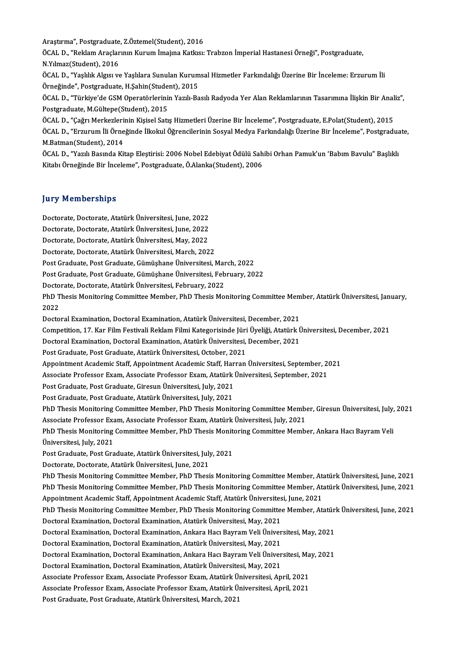Araştırma", Postgraduate, Z.Öztemel(Student), 2016<br>ÖCAL D. "Peklam Araskanın Kurum İmaina Katlanı

ÖCAL D., "Reklam Araçlarının Kurum İmajına Katkısı: Trabzon İmperial Hastanesi Örneği", Postgraduate,<br>N.Yılmaz(Student), 2016 Araştırma", Postgraduate<br>ÖCAL D., "Reklam Araçlar<br>N.Yılmaz(Student), 2016<br>ÖCAL D. "Yaşlılık Almarıy ÖCAL D., "Reklam Araçlarının Kurum İmajına Katkısı: Trabzon İmperial Hastanesi Örneği", Postgraduate,<br>N.Yılmaz(Student), 2016<br>ÖCAL D., "Yaşlılık Algısı ve Yaşlılara Sunulan Kurumsal Hizmetler Farkındalığı Üzerine Bir İncel

N.Yılmaz(Student), 2016<br>ÖCAL D., "Yaşlılık Algısı ve Yaşlılara Sunulan Kurum<br>Örneğinde", Postgraduate, H.Şahin(Student), 2015<br>ÖCAL D. "Türkiye'de CSM Operatörlerinin Yazılı Ba ÖCAL D., "Yaşlılık Algısı ve Yaşlılara Sunulan Kurumsal Hizmetler Farkındalığı Üzerine Bir İnceleme: Erzurum İli<br>Örneğinde", Postgraduate, H.Şahin(Student), 2015<br>ÖCAL D., "Türkiye'de GSM Operatörlerinin Yazılı-Basılı Radyo

Örneğinde", Postgraduate, H.Şahin(Student), 2015<br>ÖCAL D., "Türkiye'de GSM Operatörlerinin Yazılı-Basılı Radyoda Yer Alan Reklamlarının Tasarımına İlişkin Bir Ana<br>Postgraduate, M.Gültepe(Student), 2015<br>ÖCAL D., "Çağrı Merke ÖCAL D., "Türkiye'de GSM Operatörlerinin Yazılı-Basılı Radyoda Yer Alan Reklamlarının Tasarımına İlişkin Bir Anal<br>Postgraduate, M.Gültepe(Student), 2015<br>ÖCAL D., "Çağrı Merkezlerinin Kişisel Satış Hizmetleri Üzerine Bir İn

Postgraduate, M.Gültepe(Student), 2015<br>ÖCAL D., "Çağrı Merkezlerinin Kişisel Satış Hizmetleri Üzerine Bir İnceleme", Postgraduate, E.Polat(Student), 2015<br>ÖCAL D., "Erzurum İli Örneğinde İlkokul Öğrencilerinin Sosyal Medya ÖCAL D., "Çağrı Merkezleri<br>ÖCAL D., "Erzurum İli Örne<br>M.Batman(Student), 2014<br>ÖCAL D. "Yazılı Basında Kü ÖCAL D., "Erzurum İli Örneğinde İlkokul Öğrencilerinin Sosyal Medya Farkındalığı Üzerine Bir İnceleme", Postgradua<br>M.Batman(Student), 2014<br>ÖCAL D., "Yazılı Basında Kitap Eleştirisi: 2006 Nobel Edebiyat Ödülü Sahibi Orhan P

M.Batman(Student), 2014<br>ÖCAL D., "Yazılı Basında Kitap Eleştirisi: 2006 Nobel Edebiyat Ödülü Sahibi Orhan Pamuk'un 'Babım Bavulu" Başlıklı<br>Kitabı Örneğinde Bir İnceleme", Postgraduate, Ö.Alanka(Student), 2006

## **Jury Memberships**

Doctorate,Doctorate,AtatürkÜniversitesi, June,2022 Jury Trembersmps<br>Doctorate, Doctorate, Atatürk Üniversitesi, June, 2022<br>Doctorate, Doctorate, Atatürk Üniversitesi, June, 2022<br>Doctorate, Doctorate, Atatürk Üniversitesi, Meu, 2022 Doctorate, Doctorate, Atatürk Üniversitesi, June, 2022<br>Doctorate, Doctorate, Atatürk Üniversitesi, June, 2022<br>Doctorate, Doctorate, Atatürk Üniversitesi, May, 2022<br>Doctorate, Doctorate, Atatürk Üniversitesi, March, 202

Doctorate, Doctorate, Atatürk Üniversitesi, May, 2022<br>Doctorate, Doctorate, Atatürk Üniversitesi, March, 2022

Doctorate, Doctorate, Atatürk Üniversitesi, May, 2022<br>Doctorate, Doctorate, Atatürk Üniversitesi, March, 2022<br>Post Graduate, Post Graduate, Gümüşhane Üniversitesi, March, 2022<br>Post Craduate, Post Craduate, Gümüşhane Üniver Post Graduate, Post Graduate, Gümüşhane Üniversitesi, Mar<br>Post Graduate, Post Graduate, Gümüşhane Üniversitesi, Feb<br>Doctorate, Doctorate, Atatürk Üniversitesi, February, 2022<br>PhD Thesis Monitoring Committee Member, PhD The

Post Graduate, Post Graduate, Gümüşhane Üniversitesi, February, 2022

Post Graduate, Post Graduate, Gümüşhane Üniversitesi, February, 2022<br>Doctorate, Doctorate, Atatürk Üniversitesi, February, 2022<br>PhD Thesis Monitoring Committee Member, PhD Thesis Monitoring Committee Member, Atatürk Üniver Doctorate, Doctorate, Atatürk Üniversitesi, February, 2022<br>PhD Thesis Monitoring Committee Member, PhD Thesis Monitoring Committee Men<br>2022<br>Doctoral Examination, Doctoral Examination, Atatürk Üniversitesi, December, 2021 PhD Thesis Monitoring Committee Member, PhD Thesis Monitoring Committee Mem<br>2022<br>Doctoral Examination, Doctoral Examination, Atatürk Üniversitesi, December, 2021<br>Compatition, 17, Kan Eilm Ecctiveli Beklam Eilmi Katagorisin 2022<br>Doctoral Examination, Doctoral Examination, Atatürk Üniversitesi, December, 2021<br>Competition, 17. Kar Film Festivali Reklam Filmi Kategorisinde Jüri Üyeliği, Atatürk Üniversitesi, December, 2021<br>Desterel Examination,

Doctoral Examination, Doctoral Examination, Atatürk Üniversitesi, December, 2021<br>Competition, 17. Kar Film Festivali Reklam Filmi Kategorisinde Jüri Üyeliği, Atatürk Ü<br>Doctoral Examination, Doctoral Examination, Atatürk Ün Competition, 17. Kar Film Festivali Reklam Filmi Kategorisinde Jüri<br>Doctoral Examination, Doctoral Examination, Atatürk Üniversitesi,<br>Post Graduate, Post Graduate, Atatürk Üniversitesi, October, 2021<br>Anneintment Asademie S

Doctoral Examination, Doctoral Examination, Atatürk Üniversitesi, December, 2021<br>Post Graduate, Post Graduate, Atatürk Üniversitesi, October, 2021<br>Appointment Academic Staff, Appointment Academic Staff, Harran Üniversitesi Post Graduate, Post Graduate, Atatürk Üniversitesi, October, 2021<br>Appointment Academic Staff, Appointment Academic Staff, Harran Üniversitesi, September, 20<br>Associate Professor Exam, Associate Professor Exam, Atatürk Ünive Appointment Academic Staff, Appointment Academic Staff, Har<br>Associate Professor Exam, Associate Professor Exam, Atatürk<br>Post Graduate, Post Graduate, Giresun Üniversitesi, July, 2021<br>Post Craduate, Post Craduate, Atatürk Ü

Associate Professor Exam, Associate Professor Exam, Atatürk Üniversitesi, September, 2021<br>Post Graduate, Post Graduate, Giresun Üniversitesi, July, 2021<br>Post Graduate, Post Graduate, Atatürk Üniversitesi, July, 2021

Post Graduate, Post Graduate, Giresun Üniversitesi, July, 2021<br>Post Graduate, Post Graduate, Atatürk Üniversitesi, July, 2021<br>PhD Thesis Monitoring Committee Member, PhD Thesis Monitoring Committee Member, Giresun Üniversi Post Graduate, Post Graduate, Atatürk Üniversitesi, July, 2021<br>PhD Thesis Monitoring Committee Member, PhD Thesis Monitoring Committee Member<br>Associate Professor Exam, Associate Professor Exam, Atatürk Üniversitesi, July, PhD Thesis Monitoring Committee Member, PhD Thesis Monitoring Committee Member, Giresun Üniversitesi, July,<br>Associate Professor Exam, Associate Professor Exam, Atatürk Üniversitesi, July, 2021<br>PhD Thesis Monitoring Committ

Associate Professor Exam, Associate Professor Exam, Atatürk Üniversitesi, July, 2021<br>PhD Thesis Monitoring Committee Member, PhD Thesis Monitoring Committee Memb<br>Üniversitesi, July, 2021<br>Post Graduate, Post Graduate, Atatü PhD Thesis Monitoring Committee Member, PhD Thesis Monitoring Committee Member, Ankara Hacı Bayram Veli

Doctorate, Doctorate, Atatürk Üniversitesi, June, 2021

PhD Thesis Monitoring Committee Member, PhD Thesis Monitoring Committee Member, Atatürk Üniversitesi, June, 2021 Doctorate, Doctorate, Atatürk Üniversitesi, June, 2021<br>PhD Thesis Monitoring Committee Member, PhD Thesis Monitoring Committee Member, Atatürk Üniversitesi, June, 2021<br>PhD Thesis Monitoring Committee Member, PhD Thesis Mon PhD Thesis Monitoring Committee Member, PhD Thesis Monitoring Committee Member, Ata<br>PhD Thesis Monitoring Committee Member, PhD Thesis Monitoring Committee Member, Ata<br>Appointment Academic Staff, Appointment Academic Staff PhD Thesis Monitoring Committee Member, PhD Thesis Monitoring Committee Member, Atatürk Üniversitesi, June, 2021<br>Appointment Academic Staff, Appointment Academic Staff, Atatürk Üniversitesi, June, 2021<br>PhD Thesis Monitorin

Appointment Academic Staff, Appointment Academic Staff, Atatürk Üniversitesi, June, 2021<br>PhD Thesis Monitoring Committee Member, PhD Thesis Monitoring Committee Member, At<br>Doctoral Examination, Doctoral Examination, Atatür PhD Thesis Monitoring Committee Member, PhD Thesis Monitoring Committee Member, Atatürk Üniversitesi, June, 2021 Doctoral Examination, Doctoral Examination, Atatürk Üniversitesi, May, 2021<br>Doctoral Examination, Doctoral Examination, Ankara Hacı Bayram Veli Üniver<br>Doctoral Examination, Doctoral Examination, Atatürk Üniversitesi, May,

Doctoral Examination, Doctoral Examination, Ankara Hacı Bayram Veli Üniversitesi, May, 2021<br>Doctoral Examination, Doctoral Examination, Atatürk Üniversitesi, May, 2021<br>Doctoral Examination, Doctoral Examination, Ankara Hac

Doctoral Examination, Doctoral Examination, Atatürk Üniversitesi, May, 2021<br>Doctoral Examination, Doctoral Examination, Ankara Hacı Bayram Veli Üniversitesi, May, 2021<br>Doctoral Examination, Doctoral Examination, Atatürk Ün Doctoral Examination, Doctoral Examination, Ankara Hacı Bayram Veli Üniversitesi, Ma<br>Doctoral Examination, Doctoral Examination, Atatürk Üniversitesi, May, 2021<br>Associate Professor Exam, Associate Professor Exam, Atatürk Ü

Doctoral Examination, Doctoral Examination, Atatürk Üniversitesi, May, 2021<br>Associate Professor Exam, Associate Professor Exam, Atatürk Üniversitesi, April, 2021<br>Associate Professor Exam, Associate Professor Exam, Atatürk Associate Professor Exam, Associate Professor Exam, Atatürk Ü:<br>Associate Professor Exam, Associate Professor Exam, Atatürk Ü:<br>Post Graduate, Post Graduate, Atatürk Üniversitesi, March, 2021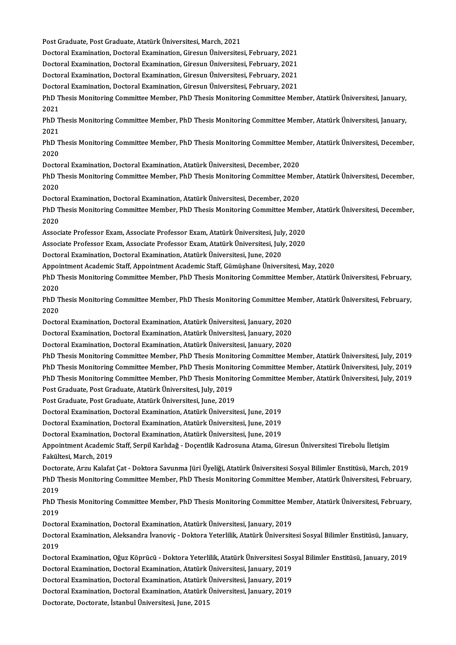Post Graduate, Post Graduate, Atatürk Üniversitesi, March, 2021

Post Graduate, Post Graduate, Atatürk Üniversitesi, March, 2021<br>Doctoral Examination, Doctoral Examination, Giresun Üniversitesi, February, 2021<br>Doctoral Examination, Doctoral Examination, Giresun Üniversitesi, February, 2

Post Graduate, Post Graduate, Atatürk Üniversitesi, March, 2021<br>Doctoral Examination, Doctoral Examination, Giresun Üniversitesi, February, 2021<br>Doctoral Examination, Doctoral Examination, Giresun Üniversitesi, February, 2 Doctoral Examination, Doctoral Examination, Giresun Üniversitesi, February, 2021<br>Doctoral Examination, Doctoral Examination, Giresun Üniversitesi, February, 2021

Doctoral Examination, Doctoral Examination, Giresun Üniversitesi, February, 2021<br>Doctoral Examination, Doctoral Examination, Giresun Üniversitesi, February, 2021<br>Doctoral Examination, Doctoral Examination, Giresun Üniversi

Doctoral Examination, Doctoral Examination, Giresun Üniversitesi, February, 2021<br>Doctoral Examination, Doctoral Examination, Giresun Üniversitesi, February, 2021<br>PhD Thesis Monitoring Committee Member, PhD Thesis Monitorin Docto<br>PhD T<br>2021<br>PhD T PhD Thesis Monitoring Committee Member, PhD Thesis Monitoring Committee Member, Atatürk Üniversitesi, January,<br>2021<br>PhD Thesis Monitoring Committee Member, PhD Thesis Monitoring Committee Member, Atatürk Üniversitesi, Janu

2021<br>PhD Thesis Monitoring Committee Member, PhD Thesis Monitoring Committee Member, Atatürk Üniversitesi, January,<br>2021 PhD Thesis Monitoring Committee Member, PhD Thesis Monitoring Committee Member, Atatürk Üniversitesi, January,<br>2021<br>PhD Thesis Monitoring Committee Member, PhD Thesis Monitoring Committee Member, Atatürk Üniversitesi, Dece

2021<br>PhD T<br>2020<br>Deste PhD Thesis Monitoring Committee Member, PhD Thesis Monitoring Committee Mem<br>2020<br>Doctoral Examination, Doctoral Examination, Atatürk Üniversitesi, December, 2020<br>PhD Thesis Monitoring Committee Member, PhD Thesis Monitorin

2020<br>Doctoral Examination, Doctoral Examination, Atatürk Üniversitesi, December, 2020<br>PhD Thesis Monitoring Committee Member, PhD Thesis Monitoring Committee Member, Atatürk Üniversitesi, December, Docto<br>PhD T<br>2020<br>Dosta PhD Thesis Monitoring Committee Member, PhD Thesis Monitoring Committee Mem<br>2020<br>Doctoral Examination, Doctoral Examination, Atatürk Üniversitesi, December, 2020<br>PhD Thesis Monitoring Committee Member, PhD Thesis Monitorin

2020<br>Doctoral Examination, Doctoral Examination, Atatürk Üniversitesi, December, 2020<br>PhD Thesis Monitoring Committee Member, PhD Thesis Monitoring Committee Member, Atatürk Üniversitesi, December, Docto<br>PhD T<br>2020 PhD Thesis Monitoring Committee Member, PhD Thesis Monitoring Committee Member<br>2020<br>Associate Professor Exam, Associate Professor Exam, Atatürk Üniversitesi, July, 2020<br>Associate Professor Evam, Associate Professor Evam, A

2020<br>Associate Professor Exam, Associate Professor Exam, Atatürk Üniversitesi, July, 2020<br>Associate Professor Exam, Associate Professor Exam, Atatürk Üniversitesi, July, 2020

DoctoralExamination,DoctoralExamination,AtatürkÜniversitesi, June,2020

Associate Professor Exam, Associate Professor Exam, Atatürk Üniversitesi, July, 2020<br>Doctoral Examination, Doctoral Examination, Atatürk Üniversitesi, June, 2020<br>Appointment Academic Staff, Appointment Academic Staff, Gümü

PhD Thesis Monitoring Committee Member, PhD Thesis Monitoring Committee Member, Atatürk Üniversitesi, February,<br>2020 Appoi<br>PhD T<br>2020<br>פרוא PhD Thesis Monitoring Committee Member, PhD Thesis Monitoring Committee Member, Atatürk Üniversitesi, February,<br>2020<br>PhD Thesis Monitoring Committee Member, PhD Thesis Monitoring Committee Member, Atatürk Üniversitesi, Feb

2020<br>PhD T<br>2020<br>Deste PhD Thesis Monitoring Committee Member, PhD Thesis Monitoring Committee Me<br>2020<br>Doctoral Examination, Doctoral Examination, Atatürk Üniversitesi, January, 2020<br>Doctoral Examination, Doctoral Examination, Atatürk Üniversite 2020<br>Doctoral Examination, Doctoral Examination, Atatürk Üniversitesi, January, 2020<br>Doctoral Examination, Doctoral Examination, Atatürk Üniversitesi, January, 2020<br>Doctoral Examination, Doctoral Examination, Atatürk Ünive

Doctoral Examination, Doctoral Examination, Atatürk Üniversitesi, January, 2020<br>Doctoral Examination, Doctoral Examination, Atatürk Üniversitesi, January, 2020<br>Doctoral Examination, Doctoral Examination, Atatürk Üniversite

Doctoral Examination, Doctoral Examination, Atatürk Üniversitesi, January, 2020<br>Doctoral Examination, Doctoral Examination, Atatürk Üniversitesi, January, 2020<br>PhD Thesis Monitoring Committee Member, PhD Thesis Monitoring Doctoral Examination, Doctoral Examination, Atatürk Üniversitesi, January, 2020<br>PhD Thesis Monitoring Committee Member, PhD Thesis Monitoring Committee Member, Atatürk Üniversitesi, July, 2019<br>PhD Thesis Monitoring Committ PhD Thesis Monitoring Committee Member, PhD Thesis Monitoring Committee Member, Atatürk Üniversitesi, July, 2019<br>PhD Thesis Monitoring Committee Member, PhD Thesis Monitoring Committee Member, Atatürk Üniversitesi, July, 2 PhD Thesis Monitoring Committee Member, PhD Thesis Monitoring Committee Member, Atatürk Üniversitesi, July, 2019<br>PhD Thesis Monitoring Committee Member, PhD Thesis Monitoring Committee Member, Atatürk Üniversitesi, July, 2

Post Graduate, Post Graduate, Atatürk Üniversitesi, June, 2019

DoctoralExamination,DoctoralExamination,AtatürkÜniversitesi, June,2019 Post Graduate, Post Graduate, Atatürk Üniversitesi, June, 2019<br>Doctoral Examination, Doctoral Examination, Atatürk Üniversitesi, June, 2019<br>Doctoral Examination, Doctoral Examination, Atatürk Üniversitesi, June, 2019<br>Docto

Doctoral Examination, Doctoral Examination, Atatürk Üniversitesi, June, 2019<br>Doctoral Examination, Doctoral Examination, Atatürk Üniversitesi, June, 2019<br>Doctoral Examination, Doctoral Examination, Atatürk Üniversitesi, Ju

Doctoral Examination, Doctoral Examination, Atatürk Üniversitesi, June, 2019<br>Doctoral Examination, Doctoral Examination, Atatürk Üniversitesi, June, 2019<br>Appointment Academic Staff, Serpil Karlıdağ - Doçentlik Kadrosuna At Doctoral Examination, I<br>Appointment Academic<br>Fakültesi, March, 2019<br>Doctorato, Argu Kalafat Appointment Academic Staff, Serpil Karlıdağ - Doçentlik Kadrosuna Atama, Giresun Üniversitesi Tirebolu İletişim<br>Fakültesi, March, 2019<br>Doctorate, Arzu Kalafat Çat - Doktora Savunma Jüri Üyeliği, Atatürk Üniversitesi Sosyal

Fakültesi, March, 2019<br>Doctorate, Arzu Kalafat Çat - Doktora Savunma Jüri Üyeliği, Atatürk Üniversitesi Sosyal Bilimler Enstitüsü, March, 2019<br>PhD Thesis Monitoring Committee Member, PhD Thesis Monitoring Committee Member, Docto<br>PhD T<br>2019<br>פרוס

PhD Thesis Monitoring Committee Member, PhD Thesis Monitoring Committee Member, Atatürk Üniversitesi, February,<br>2019<br>PhD Thesis Monitoring Committee Member, PhD Thesis Monitoring Committee Member, Atatürk Üniversitesi, Feb 2019<br>PhD T<br>2019<br>Deste PhD Thesis Monitoring Committee Member, PhD Thesis Monitoring Committee Me<br>2019<br>Doctoral Examination, Doctoral Examination, Atatürk Üniversitesi, January, 2019<br>Doctoral Examination, Aleksandra İvanevis, Doktora Veterlilik,

Doctoral Examination, Doctoral Examination, Atatürk Üniversitesi, January, 2019

2019<br>Doctoral Examination, Doctoral Examination, Atatürk Üniversitesi, January, 2019<br>Doctoral Examination, Aleksandra İvanoviç - Doktora Yeterlilik, Atatürk Üniversitesi Sosyal Bilimler Enstitüsü, January,<br>2019 Doctoral Examination, Aleksandra İvanoviç - Doktora Yeterlilik, Atatürk Üniversitesi Sosyal Bilimler Enstitüsü, January,<br>2019<br>Doctoral Examination, Oğuz Köprücü - Doktora Yeterlilik, Atatürk Üniversitesi Sosyal Bilimler En

2019<br>Doctoral Examination, Oğuz Köprücü - Doktora Yeterlilik, Atatürk Üniversitesi Sos<br>Doctoral Examination, Doctoral Examination, Atatürk Üniversitesi, January, 2019<br>Doctoral Examination, Doctoral Examination, Atatürk Üni Doctoral Examination, Oğuz Köprücü - Doktora Yeterlilik, Atatürk Üniversitesi Sos<br>Doctoral Examination, Doctoral Examination, Atatürk Üniversitesi, January, 2019<br>Doctoral Examination, Doctoral Examination, Atatürk Üniversi

Doctoral Examination, Doctoral Examination, Atatürk Üniversitesi, January, 2019<br>Doctoral Examination, Doctoral Examination, Atatürk Üniversitesi, January, 2019<br>Doctoral Examination, Doctoral Examination, Atatürk Üniversite

Doctoral Examination, Doctoral Examination, Atatürk Üniversitesi, January, 2019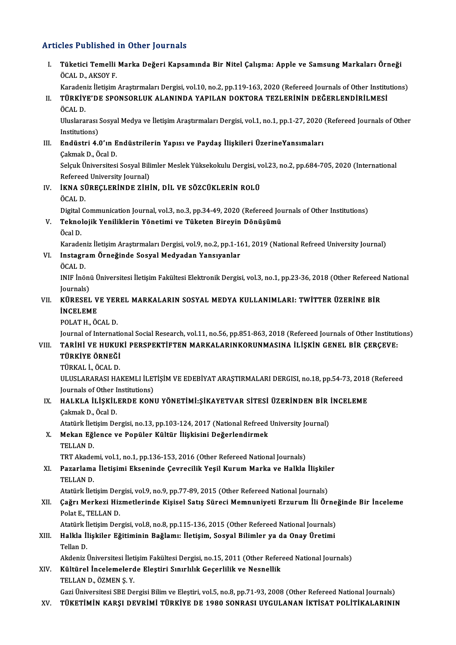# Articles Published in Other Journals

| <b>Articles Published in Other Journals</b> |                                                                                                                                                                                                                          |
|---------------------------------------------|--------------------------------------------------------------------------------------------------------------------------------------------------------------------------------------------------------------------------|
| I.                                          | Tüketici Temelli Marka Değeri Kapsamında Bir Nitel Çalışma: Apple ve Samsung Markaları Örneği<br>ÖCAL D., AKSOY F.                                                                                                       |
| II.                                         | Karadeniz İletişim Araştırmaları Dergisi, vol.10, no.2, pp.119-163, 2020 (Refereed Journals of Other Institutions)<br>TÜRKİYE'DE SPONSORLUK ALANINDA YAPILAN DOKTORA TEZLERİNİN DEĞERLENDİRİLMESİ<br>ÖCAL D.             |
|                                             | Uluslararası Sosyal Medya ve İletişim Araştırmaları Dergisi, vol.1, no.1, pp.1-27, 2020 (Refereed Journals of Other<br>Institutions)                                                                                     |
| Ш.                                          | Endüstri 4.0'ın Endüstrilerin Yapısı ve Paydaş İlişkileri ÜzerineYansımaları<br>Çakmak D, Öcal D.                                                                                                                        |
|                                             | Selçuk Üniversitesi Sosyal Bilimler Meslek Yüksekokulu Dergisi, vol.23, no.2, pp.684-705, 2020 (International<br>Refereed University Journal)                                                                            |
| IV.                                         | İKNA SÜREÇLERİNDE ZİHİN, DİL VE SÖZCÜKLERİN ROLÜ<br>ÖCAL D.                                                                                                                                                              |
| V.                                          | Digital Communication Journal, vol.3, no.3, pp.34-49, 2020 (Refereed Journals of Other Institutions)<br>Teknolojik Yeniliklerin Yönetimi ve Tüketen Bireyin Dönüşümü<br>Öcal D.                                          |
| VI.                                         | Karadeniz İletişim Araştırmaları Dergisi, vol.9, no.2, pp.1-161, 2019 (National Refreed University Journal)<br>Instagram Örneğinde Sosyal Medyadan Yansıyanlar                                                           |
|                                             | ÖCAL D.<br>INIF İnönü Üniversitesi İletişim Fakültesi Elektronik Dergisi, vol.3, no.1, pp.23-36, 2018 (Other Refereed National<br>Journals)                                                                              |
| VII.                                        | KÜRESEL VE YEREL MARKALARIN SOSYAL MEDYA KULLANIMLARI: TWİTTER ÜZERİNE BİR<br><b>INCELEME</b><br>POLAT H., ÖCAL D.                                                                                                       |
| VIII.                                       | Journal of International Social Research, vol.11, no.56, pp.851-863, 2018 (Refereed Journals of Other Institutions)<br>TARİHİ VE HUKUKİ PERSPEKTİFTEN MARKALARINKORUNMASINA İLİŞKİN GENEL BİR ÇERÇEVE:<br>TÜRKİYE ÖRNEĞİ |
|                                             | TÜRKAL İ, ÖCAL D.<br>ULUSLARARASI HAKEMLI İLETİŞİM VE EDEBİYAT ARAŞTIRMALARI DERGISI, no.18, pp.54-73, 2018 (Refereed                                                                                                    |
| IX.                                         | Journals of Other Institutions)<br>HALKLA İLİŞKİLERDE KONU YÖNETİMİ:ŞİKAYETVAR SİTESİ ÜZERİNDEN BİR İNCELEME<br>Çakmak D., Öcal D.                                                                                       |
| X.                                          | Atatürk İletişim Dergisi, no.13, pp.103-124, 2017 (National Refreed University Journal)<br>Mekan Eğlence ve Popüler Kültür İlişkisini Değerlendirmek<br>TELLAN D.                                                        |
| XI.                                         | TRT Akademi, vol.1, no.1, pp.136-153, 2016 (Other Refereed National Journals)<br>Pazarlama İletişimi Ekseninde Çevrecilik Yeşil Kurum Marka ve Halkla İlişkiler                                                          |
|                                             | TELLAN D.<br>Atatürk İletişim Dergisi, vol.9, no.9, pp.77-89, 2015 (Other Refereed National Journals)                                                                                                                    |
| XII.                                        | Çağrı Merkezi Hizmetlerinde Kişisel Satış Süreci Memnuniyeti Erzurum İli Örneğinde Bir İnceleme<br>Polat E, TELLAN D.                                                                                                    |
| XIII.                                       | Atatürk İletişim Dergisi, vol.8, no.8, pp.115-136, 2015 (Other Refereed National Journals)<br>Halkla İlişkiler Eğitiminin Bağlamı: İletişim, Sosyal Bilimler ya da Onay Üretimi<br>Tellan D.                             |
| XIV.                                        | Akdeniz Üniversitesi İletişim Fakültesi Dergisi, no.15, 2011 (Other Refereed National Journals)<br>Kültürel İncelemelerde Eleştiri Sınırlılık Geçerlilik ve Nesnellik<br>TELLAN D., ÖZMEN Ş. Y.                          |
| XV.                                         | Gazi Üniversitesi SBE Dergisi Bilim ve Eleştiri, vol.5, no.8, pp.71-93, 2008 (Other Refereed National Journals)<br>TÜKETİMİN KARŞI DEVRİMİ TÜRKİYE DE 1980 SONRASI UYGULANAN İKTİSAT POLİTİKALARININ                     |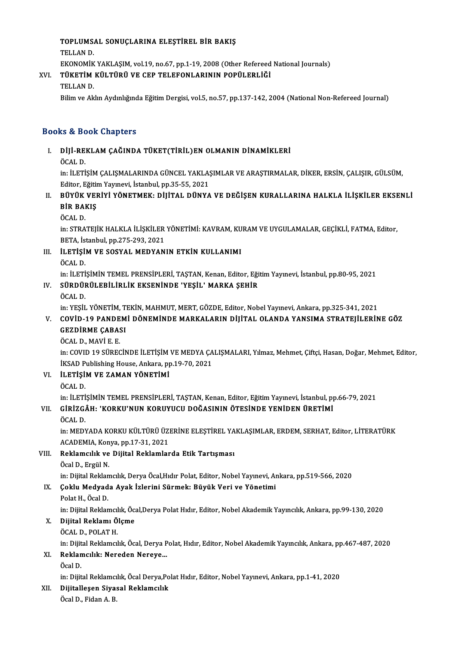# TOPLUMSAL SONUÇLARINA ELEŞTİREL BİR BAKIŞ<br>TELLAN D TOPLUMS.<br>TELLAN D.<br>EVONOMİV

TOPLUMSAL SONUÇLARINA ELEŞTİREL BİR BAKIŞ<br>TELLAN D.<br>EKONOMİK YAKLAŞIM, vol.19, no.67, pp.1-19, 2008 (Other Refereed National Journals)<br>TÜKETİM KÜLTÜDÜ VE GER TELEFONLARININ RORÜLERLİĞİ EKONOMIK<br><mark>TÜKETIM</mark><br>TELLAN D.<br><sup>Bilim vo Ak</sub></sup>

# TELLAN D.<br>EKONOMİK YAKLAŞIM, vol.19, no.67, pp.1-19, 2008 (Other Refereed<br>XVI. TÜKETİM KÜLTÜRÜ VE CEP TELEFONLARININ POPÜLERLİĞİ<br>TELLAN D.

Bilim ve Aklın Aydınlığında Eğitim Dergisi, vol.5, no.57, pp.137-142, 2004 (National Non-Refereed Journal)

## Books&Book Chapters

# ooks & Book Chapters<br>I. - DİJİ-REKLAM ÇAĞINDA TÜKET(TİRİL)EN OLMANIN DİNAMİKLERİ<br>- ÖCAL D to & Be<br>DİJİ-RE<br>ÖCAL D.<br>in: Ü ETİ

DİJİ-REKLAM ÇAĞINDA TÜKET(TİRİL)EN OLMANIN DİNAMİKLERİ<br>ÖCAL D.<br>in: İLETİŞİM ÇALIŞMALARINDA GÜNCEL YAKLAŞIMLAR VE ARAŞTIRMALAR, DİKER, ERSİN, ÇALIŞIR, GÜLSÜM,<br>Editor Fğitim Yaynayi, İstanbul pp.25,55,2021 ÖCAL D.<br>in: İLETİŞİM ÇALIŞMALARINDA GÜNCEL YAKLAŞ<br>Editor, Eğitim Yayınevi, İstanbul, pp.35-55, 2021<br>PÜVÜK VERİYİ YÖNETMEK, DİJİTAL, DÜNYA In: İLETİŞİM ÇALIŞMALARINDA GÜNCEL YAKLAŞIMLAR VE ARAŞTIRMALAR, DİKER, ERSİN, ÇALIŞIR, GÜLSÜM,<br>Editor, Eğitim Yayınevi, İstanbul, pp.35-55, 2021<br>II. BÜYÜK VERİYİ YÖNETMEK: DİJİTAL DÜNYA VE DEĞİŞEN KURALLARINA HALKLA İLİŞKİ

# Editor, Eğitir<br><mark>BÜYÜK VEI</mark><br>BİR BAKIŞ<br>ÖCAL D BÜYÜK<br>BİR BAI<br>ÖCAL D.<br>in: STRA

BİR BAKIŞ<br>ÖCAL D.<br>in: STRATEJİK HALKLA İLİŞKİLER YÖNETİMİ: KAVRAM, KURAM VE UYGULAMALAR, GEÇİKLİ, FATMA, Editor,<br>PETA, İstanbul pp.275,292,2021 ÖCAL D.<br>in: STRATEJİK HALKLA İLİŞKİLER<br>BETA, İstanbul, pp.275-293, 2021<br>il ETİSİM VE SOSYAL MEDYAN in: STRATEJİK HALKLA İLİŞKİLER YÖNETİMİ: KAVRAM, KU<br>BETA, İstanbul, pp.275-293, 2021<br>III. ILETİŞİM VE SOSYAL MEDYANIN ETKİN KULLANIMI<br>ÖCAL D

# BETA, İstanbul, pp.275-293, 2021<br>III. İLETİŞİM VE SOSYAL MEDYANIN ETKİN KULLANIMI<br>ÖCAL D. İLETİŞİM VE SOSYAL MEDYANIN ETKİN KULLANIMI<br>ÖCAL D.<br>in: İLETİŞİMİN TEMEL PRENSİPLERİ, TAŞTAN, Kenan, Editor, Eğitim Yayınevi, İstanbul, pp.80-95, 2021<br>SÜRDÜRÜL ERİLİRLİK EKSENİNDE 'YESİL' MARKA SEHİR

in: İLETİ<br><mark>SÜRDÜI</mark><br>ÖCAL D.<br>in: YESİI

## IV. SÜRDÜRÜLEBİLİRLİK EKSENİNDE 'YEŞİL'MARKA ŞEHİR

in:YEŞİL YÖNETİM,TEKİN,MAHMUT,MERT,GÖZDE,Editor,NobelYayınevi,Ankara,pp.325-341,2021

## ÖCAL D.<br>in: YEŞİL YÖNETİM, TEKİN, MAHMUT, MERT, GÖZDE, Editor, Nobel Yayınevi, Ankara, pp.325-341, 2021<br>V. COVİD-19 PANDEMİ DÖNEMİNDE MARKALARIN DİJİTAL OLANDA YANSIMA STRATEJİLERİNE GÖZ<br>CEZDİPME CARASI in: YEŞİL YÖNETİM, T.<br>COVİD-19 PANDEM<br>GEZDİRME ÇABASI<br>ÖCAL D. MAVİ E.E. COVÍD-19 PANDE<br>GEZDÍRME ÇABA:<br>ÖCAL D., MAVÍ E. E.<br>in: COVID 19 SÜPEC

GEZDİRME ÇABASI<br>ÖCAL D., MAVİ E. E.<br>in: COVID 19 SÜRECİNDE İLETİŞİM VE MEDYA ÇALIŞMALARI, Yılmaz, Mehmet, Çiftçi, Hasan, Doğar, Mehmet, Editor, ÖCAL D., MAVİ E. E.<br>in: COVID 19 SÜRECİNDE İLETİŞİM VE MEDYA ÇA<br>İKSAD Publishing House, Ankara, pp.19-70, 2021<br>il ETİSİM VE ZAMAN YÖNETİMİ

## VI. **İLETİŞİM VE ZAMAN YÖNETİMİ**<br>ÖCAL D. İKSAD P<br><mark>İLETİŞİ</mark><br>ÖCAL D.<br>in. <sup>İLETİ</sup>

İLETİŞİM VE ZAMAN YÖNETİMİ<br>ÖCAL D.<br>in: İLETİŞİMİN TEMEL PRENSİPLERİ, TAŞTAN, Kenan, Editor, Eğitim Yayınevi, İstanbul, pp.66-79, 2021<br>CİRİZÇÂH, 'YORKU'NUN YORUYUCU DOĞASININ ÖTESİNDE YENİDEN ÜRETİMİ

# ÖCAL D.<br>in: İLETİŞİMİN TEMEL PRENSİPLERİ, TAŞTAN, Kenan, Editor, Eğitim Yayınevi, İstanbul, p<sub>l</sub><br>VII. GİRİZGÂH: 'KORKU'NUN KORUYUCU DOĞASININ ÖTESİNDE YENİDEN ÜRETİMİ<br>ÖCAL D in: İLETİ<br>GİRİZG*i*<br>ÖCAL D.<br>in: MEDN

GİRİZGÂH: 'KORKU'NUN KORUYUCU DOĞASININ ÖTESİNDE YENİDEN ÜRETİMİ<br>ÖCAL D.<br>in: MEDYADA KORKU KÜLTÜRÜ ÜZERİNE ELEŞTİREL YAKLAŞIMLAR, ERDEM, SERHAT, Editor, LİTERATÜRK<br>ACADEMIA Korva pp.17.31.2021 ÖCAL D.<br>in: MEDYADA KORKU KÜLTÜRÜ ÜZI<br>ACADEMIA, Konya, pp.17-31, 2021<br>Beklamalık ve Dijital Beklamlar in: MEDYADA KORKU KÜLTÜRÜ ÜZERİNE ELEŞTİREL YA<br>ACADEMIA, Konya, pp.17-31, 2021<br>VIII. Reklamcılık ve Dijital Reklamlarda Etik Tartışması<br>Öcel D. Ergül N

# ACADEMIA, Konya, pp.17-31, 2021<br>VIII. Reklamcılık ve Dijital Reklamlarda Etik Tartışması<br>Öcal D., Ergül N.

in:DijitalReklamcılık,DeryaÖcal,Hıdır Polat,Editor,NobelYayınevi,Ankara,pp.519-566,2020

# Öcal D., Ergül N.<br>in: Dijital Reklamcılık, Derya Öcal,Hıdır Polat, Editor, Nobel Yayınevi, Aı<br>IX. Çoklu Medyada Ayak İzlerini Sürmek: Büyük Veri ve Yönetimi<br>Rekt H. Ösal D. in: Dijital Reklar<br>**Çoklu Medyad<br>Polat H., Öcal D.**<br>in: Dijital Beklar

Polat H., Öcal D.<br>in: Dijital Reklamcılık, Öcal,Derya Polat Hıdır, Editor, Nobel Akademik Yayıncılık, Ankara, pp.99-130, 2020

## X. Dijital Reklamı Ölçme

ÖCALD.,POLATH. in: Dijital Reklamcılık, Öcal, Derya Polat, Hıdır, Editor, Nobel Akademik Yayıncılık, Ankara, pp.467-487, 2020

# ÖCAL D., POLAT H.<br>in: Dijital Reklamcılık, Öcal, Derya P<br>XI. Reklamcılık: Nereden Nereye...<br>Öcal D. in: Dijit<br><mark>Reklan</mark><br>Öcal D.<br>in: Dijit

Reklamcılık: Nereden Nereye...<br>Öcal D.<br>in: Dijital Reklamcılık, Öcal Derya,Polat Hıdır, Editor, Nobel Yayınevi, Ankara, pp.1-41, 2020<br>Dijitallesen Siyasal Beklamcılık.

# Öcal D.<br>in: Dijital Reklamcılık, Öcal Derya,Po<br>XII. Dijitalleşen Siyasal Reklamcılık<br>Ösel D. Fiden A. B in: Dijital Reklamcı<br><mark>Dijitalleşen Siya</mark>.<br>Öcal D., Fidan A. B.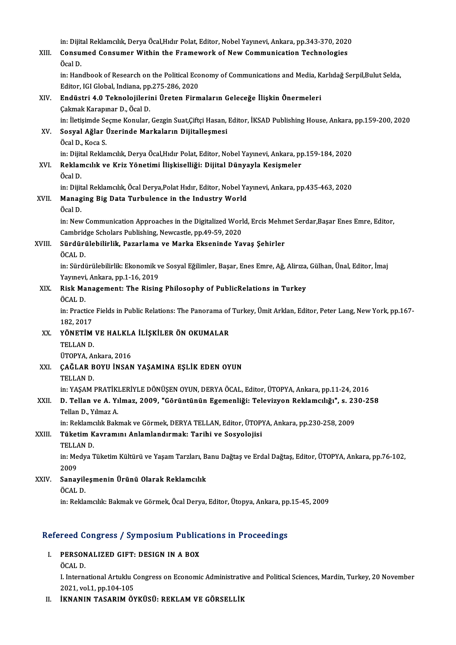|        | in: Dijital Reklamcılık, Derya Öcal, Hıdır Polat, Editor, Nobel Yayınevi, Ankara, pp.343-370, 2020                                                                                       |
|--------|------------------------------------------------------------------------------------------------------------------------------------------------------------------------------------------|
| XIII.  | Consumed Consumer Within the Framework of New Communication Technologies<br>Öcal D.                                                                                                      |
|        | in: Handbook of Research on the Political Economy of Communications and Media, Karlıdağ Serpil, Bulut Selda,<br>Editor, IGI Global, Indiana, pp.275-286, 2020                            |
| XIV.   | Endüstri 4.0 Teknolojilerini Üreten Firmaların Geleceğe İlişkin Önermeleri<br>Çakmak Karapınar D., Öcal D.                                                                               |
| XV.    | in: İletişimde Seçme Konular, Gezgin Suat,Çiftçi Hasan, Editor, İKSAD Publishing House, Ankara, pp.159-200, 2020<br>Sosyal Ağlar Üzerinde Markaların Dijitalleşmesi                      |
|        | Öcal D., Koca S.                                                                                                                                                                         |
| XVI.   | in: Dijital Reklamcılık, Derya Öcal, Hıdır Polat, Editor, Nobel Yayınevi, Ankara, pp.159-184, 2020<br>Reklamcılık ve Kriz Yönetimi İlişkiselliği: Dijital Dünyayla Kesişmeler<br>Öcal D. |
| XVII.  | in: Dijital Reklamcılık, Öcal Derya, Polat Hıdır, Editor, Nobel Yayınevi, Ankara, pp.435-463, 2020<br>Managing Big Data Turbulence in the Industry World<br>Öcal D.                      |
|        | in: New Communication Approaches in the Digitalized World, Ercis Mehmet Serdar, Başar Enes Emre, Editor,<br>Cambridge Scholars Publishing, Newcastle, pp.49-59, 2020                     |
| XVIII. | Sürdürülebilirlik, Pazarlama ve Marka Ekseninde Yavaş Şehirler<br>ÖCAL D.                                                                                                                |
|        | in: Sürdürülebilirlik: Ekonomik ve Sosyal Eğilimler, Başar, Enes Emre, Ağ, Alirıza, Gülhan, Ünal, Editor, İmaj<br>Yayınevi, Ankara, pp.1-16, 2019                                        |
| XIX.   | Risk Management: The Rising Philosophy of PublicRelations in Turkey<br>ÖCAL D.                                                                                                           |
|        | in: Practice Fields in Public Relations: The Panorama of Turkey, Ümit Arklan, Editor, Peter Lang, New York, pp.167-<br>182, 2017                                                         |
| XX.    | YÖNETİM VE HALKLA İLİŞKİLER ÖN OKUMALAR<br>TELLAN D.                                                                                                                                     |
| XXI.   | ÜTOPYA. Ankara. 2016<br>ÇAĞLAR BOYU İNSAN YAŞAMINA EŞLİK EDEN OYUN<br>TELLAN D.                                                                                                          |
| XXII.  | in: YAŞAM PRATİKLERİYLE DÖNÜŞEN OYUN, DERYA ÖCAL, Editor, ÜTOPYA, Ankara, pp.11-24, 2016<br>D. Tellan ve A. Yılmaz, 2009, "Görüntünün Egemenliği: Televizyon Reklamcılığı", s. 230-258   |
|        | Tellan D., Yılmaz A<br>in: Reklamcılık Bakmak ve Görmek, DERYA TELLAN, Editor, ÜTOPYA, Ankara, pp.230-258, 2009                                                                          |
| XXIII. | Tüketim Kavramını Anlamlandırmak: Tarihi ve Sosyolojisi<br>TELLAN D.                                                                                                                     |
|        | in: Medya Tüketim Kültürü ve Yaşam Tarzları, Banu Dağtaş ve Erdal Dağtaş, Editor, ÜTOPYA, Ankara, pp.76-102,<br>2009                                                                     |
| XXIV.  | Sanayileşmenin Ürünü Olarak Reklamcılık<br>ÖCAL D.                                                                                                                                       |
|        | in: Reklamcılık: Bakmak ve Görmek, Öcal Derya, Editor, Ütopya, Ankara, pp.15-45, 2009                                                                                                    |

# m: кекіатсінк: вактак ve Gormek, Ocal Derya, Editor, Otopya, Ankara, pp<br>Refereed Congress / Symposium Publications in Proceedings

efereed Congress / Symposium Public<br>I. PERSONALIZED GIFT: DESIGN IN A BOX I. PERSONALIZED GIFT: DESIGN IN A BOX<br>ÖCAL D.

PERSONALIZED GIFT: DESIGN IN A BOX<br>ÖCAL D.<br>I. International Artuklu Congress on Economic Administrative and Political Sciences, Mardin, Turkey, 20 November ÖCAL D.<br>I. International Artuklu (<br>2021, vol.1, pp.104-105<br>IKNANIN TASARIM ÖV 2021, vol.1, pp.104-105<br>II. İKNANIN TASARIM ÖYKÜSÜ: REKLAM VE GÖRSELLİK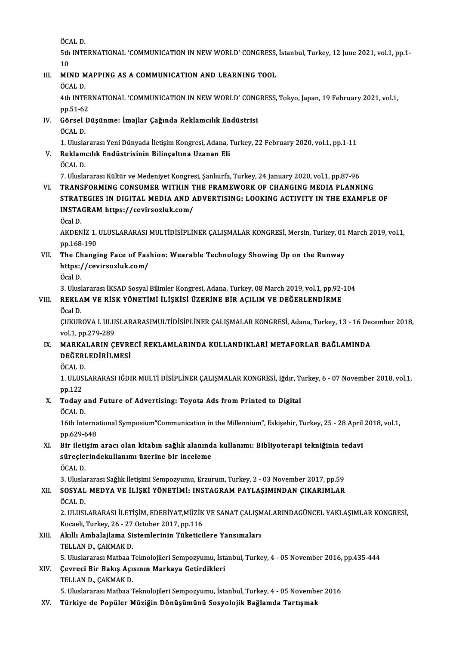ÖCALD.

ÖCAL D.<br>5th INTERNATIONAL 'COMMUNICATION IN NEW WORLD' CONGRESS, İstanbul, Turkey, 12 June 2021, vol.1, pp.1-<br>10 ÖC<br>5th<br>10<br>MH 5th INTERNATIONAL 'COMMUNICATION IN NEW WORLD' CONGRESS,<br>10<br>III. MIND MAPPING AS A COMMUNICATION AND LEARNING TOOL

# 10<br>III. MIND MAPPING AS A COMMUNICATION AND LEARNING TOOL<br>ÖCAL D.

MIND MAPPING AS A COMMUNICATION AND LEARNING TOOL<br>ÖCAL D.<br>4th INTERNATIONAL 'COMMUNICATION IN NEW WORLD' CONGRESS, Tokyo, Japan, 19 February 2021, vol.1,<br>nn 51 62 ÖCAL D.<br>4th INTEF<br>pp.51-62<br>Cërsel D 4th INTERNATIONAL 'COMMUNICATION IN NEW WORLD' CONG<br>pp.51-62<br>IV. Görsel Düşünme: İmajlar Çağında Reklamcılık Endüstrisi<br>ÖCAL D

pp.51-62<br>Görsel<br>ÖCAL D.<br>1. Ulusla Görsel Düşünme: İmajlar Çağında Reklamcılık Endüstrisi<br>ÖCAL D.<br>1. Uluslararası Yeni Dünyada İletişim Kongresi, Adana, Turkey, 22 February 2020, vol.1, pp.1-11<br>Beklamcılık Endüstrisinin Bilinseltına Uranan Eli

# ÖCAL D.<br>1. Uluslararası Yeni Dünyada İletişim Kongresi, Adana, 1<br>1. Reklamcılık Endüstrisinin Bilinçaltına Uzanan Eli<br>ÖCAL D. 1. Ulusla<br>Reklam<br>ÖCAL D.<br>7. Ulusla

7.UluslararasıKültür veMedeniyetKongresi,Şanlıurfa,Turkey,24 January2020,vol.1,pp.87-96

## VI. TRANSFORMING CONSUMER WITHIN THE FRAMEWORK OF CHANGING MEDIA PLANNING STRATEGIES IN DIGITAL MEDIA AND ADVERTISING: LOOKING ACTIVITY IN THE EXAMPLE OF TRANSFORMING CONSUMER WITHIN T<br>STRATEGIES IN DIGITAL MEDIA AND A<br>INSTAGRAM https://cevirsozluk.com/<br>Ögel D STRAT<br>INSTA<br>Öcal D.<br>AKDEN

INSTAGRAM https://cevirsozluk.com/<br>Öcal D.<br>AKDENİZ 1. ULUSLARARASI MULTİDİSİPLİNER ÇALIŞMALAR KONGRESİ, Mersin, Turkey, 01 March 2019, vol.1,<br>nn 168 100 Öcal D.<br>AKDENİZ 1.<br>pp.168-190<br>The Changi AKDENİZ 1. ULUSLARARASI MULTİDİSİPLİNER ÇALIŞMALAR KONGRESİ, Mersin, Turkey, 01<br>pp.168-190<br>VII. The Changing Face of Fashion: Wearable Technology Showing Up on the Runway<br>https://sayinaarkk.com/

pp.168-190<br>The Changing Face of Fas<br>https://cevirsozluk.com/<br>Öcel D The Ch<br>https:/<br>Öcal D.<br>2. Ulusl https://cevirsozluk.com/<br>Öcal D.<br>3. Uluslararası İKSAD Sosyal Bilimler Kongresi, Adana, Turkey, 08 March 2019, vol.1, pp.92-104<br>PEKLAM VE RİSK VÖNETİMİ İLİSKİSİ ÜZERİNE RİR ACU IM VE DEĞERLENDİRME

# Öcal D.<br>3. Uluslararası İKSAD Sosyal Bilimler Kongresi, Adana, Turkey, 08 March 2019, vol.1, pp.92-<br>VIII. REKLAM VE RİSK YÖNETİMİ İLİŞKİSİ ÜZERİNE BİR AÇILIM VE DEĞERLENDİRME<br>Öcel D 3. Ulus<mark>l</mark><br>**REKLA**<br>Öcal D.<br>CUKUP

REKLAM VE RİSK YÖNETİMİ İLİŞKİSİ ÜZERİNE BİR AÇILIM VE DEĞERLENDİRME<br>Öcal D.<br>ÇUKUROVA I. ULUSLARARASIMULTİDİSİPLİNER ÇALIŞMALAR KONGRESİ, Adana, Turkey, 13 - 16 December 2018,<br>vel1, np.279,289. Öcal D.<br>ÇUKUROVA I. ULU<br>vol.1, pp.279-289<br>MARKALARIN CI CUKUROVA I. ULUSLARARASIMULTİDİSİPLİNER ÇALIŞMALAR KONGRESİ, Adana, Turkey, 13 - 16 Dec<br>vol.1, pp.279-289<br>IX. MARKALARIN ÇEVRECİ REKLAMLARINDA KULLANDIKLARİ METAFORLAR BAĞLAMINDA<br>DEĞEPI EDİPLI MESİ

# vol.1, pp.279-289<br>MARKALARIN ÇEVRI<br>DEĞERLEDİRİLMESİ<br>ÖCAL D MARKA<br>DEĞERI<br>ÖCAL D.<br>1. III IISI

DEĞERLEDİRİLMESİ<br>ÖCAL D.<br>1. ULUSLARARASI IĞDIR MULTİ DİSİPLİNER ÇALIŞMALAR KONGRESİ, Iğdır, Turkey, 6 - 07 November 2018, vol.1,<br>pp.122 ÖCAL D<br>1. ULUS<br>pp.122<br>Today 1. ULUSLARARASI IĞDIR MULTİ DİSİPLİNER ÇALIŞMALAR KONGRESİ, Iğdır, Top.122<br>X. Today and Future of Advertising: Toyota Ads from Printed to Digital<br>ÖCAL D

pp.122<br><mark>Today</mark> a<br>ÖCAL D.<br><sup>16th Inte</sup>

19th Inday and Future of Advertising: Toyota Ads from Printed to Digital<br>ÖCAL D.<br>16th International Symposium"Communication in the Millennium", Eskişehir, Turkey, 25 - 28 April 2018, vol.1,<br>nn 620,648 ÖCAL D.<br>16th Interna<br>pp.629-648<br>Bin iletisim

XI. Bir iletişimaracı olan kitabın sağlık alanında kul anımı: Bibliyoterapi tekniğinin tedavi pp.629-648<br>Bir iletişim aracı olan kitabın sağlık alanınd<br>süreçlerindekullanımı üzerine bir inceleme<br>ÖCAL D Bir ilet<mark>i</mark><br>süreçle:<br>ÖCAL D.<br>3. Ulusla

ÖCAL D.<br>3. Uluslararası Sağlık İletişimi Sempozyumu, Erzurum, Turkey, 2 - 03 November 2017, pp.59

## ÖCAL D.<br>3. Uluslararası Sağlık İletişimi Sempozyumu, Erzurum, Turkey, 2 - 03 November 2017, pp.59<br>XII. SOSYAL MEDYA VE İLİŞKİ YÖNETİMİ: INSTAGRAM PAYLAŞIMINDAN ÇIKARIMLAR<br>ÖCAL D. 3. Ulusla<br>SOSYAL<br>ÖCAL D.<br>2. ULUSI SOSYAL MEDYA VE İLİŞKİ YÖNETİMİ: INSTAGRAM PAYLAŞIMINDAN ÇIKARIMLAR<br>ÖCAL D.<br>2. ULUSLARARASI İLETİŞİM, EDEBİYAT,MÜZİK VE SANAT ÇALIŞMALARINDAGÜNCEL YAKLAŞIMLAR KONGRESİ,<br>Kosaali Turkov. 26., 27 Ostabar 2017, pp.116.

ÖCAL D.<br>2. ULUSLARARASI İLETİŞİM, EDEBİYAT,MÜZİK<br>Kocaeli, Turkey, 26 - 27 October 2017, pp.116<br>Akıllı Ambalailama Sistamlarinin Tükatisi 2. ULUSLARARASI İLETİŞİM, EDEBİYAT,MÜZİK VE SANAT ÇALIŞM<br>Kocaeli, Turkey, 26 - 27 October 2017, pp.116<br>XIII. Akıllı Ambalajlama Sistemlerinin Tüketicilere Yansımaları<br>TELLAN D. GAKMAK D.

# Kocaeli, Turkey, 26 - 27 October 2017, pp.116<br>XIII. Akıllı Ambalajlama Sistemlerinin Tüketicilere Yansımaları<br>TELLAN D., CAKMAK D. Akıllı Ambalajlama Sistemlerinin Tüketicilere Yansımaları<br>TELLAN D., ÇAKMAK D.<br>5. Uluslararası Matbaa Teknolojileri Sempozyumu, İstanbul, Turkey, 4 - 05 November 2016, pp.435-444<br>Cevresi Bir Bakıs Asısının Markaya Cetindik

XIV. Çevreci Bir Bakış Açısının Markaya Getirdikleri<br>TELLAN D., ÇAKMAK D. 5. Uluslararası Matbaa 1<br>Çevreci Bir Bakış Açı:<br>TELLAN D., ÇAKMAK D.<br>5. Uluslararası Matbaa 1

5.UluslararasıMatbaaTeknolojileriSempozyumu, İstanbul,Turkey,4 -05November 2016

XV. Türkiye de Popüler Müziğin Dönüşümünü Sosyolojik Bağlamda Tartışmak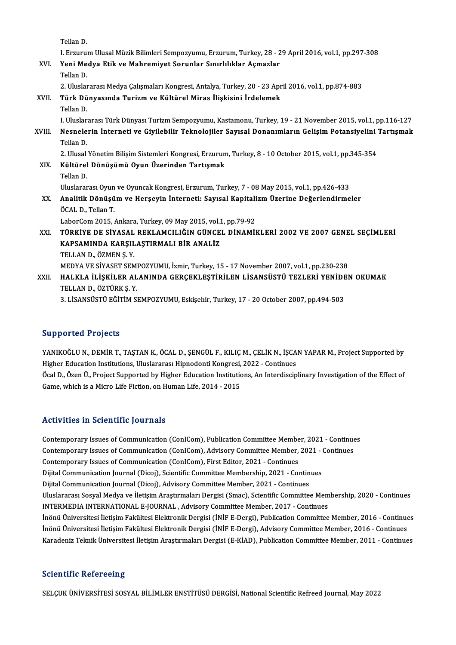Tellan D.

Tellan D.<br>I. Erzurum Ulusal Müzik Bilimleri Sempozyumu, Erzurum, Turkey, 28 - 29 April 2016, vol.1, pp.297-308<br>Yoni Modya Etik ve Mahnomiyat Semunlar Sınırlılıklar Asmarlar. XVI. Yeni Medya Etik ve Mahremiyet Sorunlar Sınırlılıklar Açmazlar<br>Tellan D. I Erzuru<br>Yeni Me<br>Tellan D.<br>2 Uluslar Yeni Medya Etik ve Mahremiyet Sorunlar Sınırlılıklar Açmazlar<br>Tellan D.<br>2. Uluslararası Medya Çalışmaları Kongresi, Antalya, Turkey, 20 - 23 April 2016, vol.1, pp.874-883<br>Türk Dünyasında Turizm ve Kültürel Miras İliskisini XVII. Türk Dünyasında Turizm ve Kültürel Miras İlişkisini İrdelemek<br>Tellan D. 2. Uluslar<br><mark>Türk Dü</mark><br>Tellan D.<br>L Uluslar I.UluslararasıTürkDünyasıTurizmSempozyumu,Kastamonu,Turkey,19 -21November 2015,vol.1,pp.116-127 XVIII. Nesnelerin İnterneti ve Givilebilir Teknolojiler Savısal Donanımların Gelisim Potansiyelini Tartısmak Tellan D. Nesnelerin İnterneti ve Giyilebilir Teknolojiler Sayısal Donanımların Gelişim Potansiyelini '<br>Tellan D.<br>2. Ulusal Yönetim Bilişim Sistemleri Kongresi, Erzurum, Turkey, 8 - 10 October 2015, vol.1, pp.345-354<br>Kültürel Dönüsü Tellan D.<br>2. Ulusal Yönetim Bilişim Sistemleri Kongresi, Erzurun<br>XIX. Kültürel Dönüşümü Oyun Üzerinden Tartışmak<br>Tellan D 2. Ulusal<br><mark>Kültürel</mark><br>Tellan D.<br>Uluslarar Kültürel Dönüşümü Oyun Üzerinden Tartışmak<br>Tellan D.<br>Uluslararası Oyun ve Oyuncak Kongresi, Erzurum, Turkey, 7 - 08 May 2015, vol.1, pp.426-433<br>Analitik Dönüsüm ve Herseyin İnterneti: Seyyasl Kenitalizm Üzerine Değerlendir Tellan D.<br>Uluslararası Oyun ve Oyuncak Kongresi, Erzurum, Turkey, 7 - 08 May 2015, vol.1, pp.426-433<br>XX. Analitik Dönüşüm ve Herşeyin İnterneti: Sayısal Kapitalizm Üzerine Değerlendirmeler<br>ÖCAL D. Tellen T Uluslararası Oyun<br><mark>Analitik Dönüşü</mark><br>ÖCAL D., Tellan T.<br>LabarCom 2015 Analitik Dönüşüm ve Herşeyin İnterneti: Sayısal Kapitalizm Üzerine Değerlendirmeler<br>ÖCAL D., Tellan T. XXI. TÜRKİYE DE SİYASAL REKLAMCILIĞIN GÜNCEL DİNAMİKLERİ 2002 VE 2007 GENEL SEÇİMLERİ LaborCom 2015, Ankara, Turkey, 09 May 2015, vol.1, pp.79-92 TELLAND.,ÖZMENŞ.Y. MEDYAVESİYASETSEMPOZYUMU, İzmir,Turkey,15 -17November 2007,vol.1,pp.230-238 TELLAN D., ÖZMEN Ş. Y.<br>MEDYA VE SİYASET SEMPOZYUMU, İzmir, Turkey, 15 - 17 November 2007, vol.1, pp.230-238<br>XXII. HALKLA İLİŞKİLER ALANINDA GERÇEKLEŞTİRİLEN LİSANSÜSTÜ TEZLERİ YENİDEN OKUMAK<br>TELLAN D. ÖZTÜPK S. V MEDYA VE SİYASET SEM<br>H<mark>ALKLA İLİŞKİLER AL</mark><br>TELLAN D., ÖZTÜRK Ş. Y.<br>2. LİSANSÜSTÜ EĞİTİM S. HALKLA İLİŞKİLER ALANINDA GERÇEKLEŞTİRİLEN LİSANSÜSTÜ TEZLERİ YENİDE<br>TELLAN D., ÖZTÜRK Ş. Y.<br>3. LİSANSÜSTÜ EĞİTİM SEMPOZYUMU, Eskişehir, Turkey, 17 - 20 October 2007, pp.494-503 3. LİSANSÜSTÜ EĞİTİM SEMPOZYUMU, Eskişehir, Turkey, 17 - 20 October 2007, pp.494-503<br>Supported Projects

YANIKOĞLU N., DEMİR T., TAŞTAN K., ÖCAL D., ŞENGÜL F., KILIÇ M., ÇELİK N., İŞCAN YAPAR M., Project Supported by Bupporteur I rejects<br>YANIKOĞLU N., DEMİR T., TAŞTAN K., ÖCAL D., ŞENGÜL F., KILIÇ M., ÇELİK N., İŞCA<br>Higher Education Institutions, Uluslararası Hipnodonti Kongresi, 2022 - Continues<br>Öqel D., Özen Ü., Preject Sunnerted bu Öcal D., Özen Ü., Project Supported by Higher Education Institutions, An Interdisciplinary Investigation of the Effect of<br>Game, which is a Micro Life Fiction, on Human Life, 2014 - 2015 Higher Education Institutions, Uluslararası Hipnodonti Kongresi,<br>Öcal D., Özen Ü., Project Supported by Higher Education Institutic<br>Game, which is a Micro Life Fiction, on Human Life, 2014 - 2015

## Activities in Scientific Journals

Activities in Scientific Journals<br>Contemporary Issues of Communication (ConICom), Publication Committee Member, 2021 - Continues<br>Contemporary Jesues of Communication (ConICom), Advisory Committee Member, 2021 - Continues Contemporary Issues of Communication (ConICom), Publication Committee Member, 2021 - Continue<br>Contemporary Issues of Communication (ConICom), Advisory Committee Member, 2021 - Continues<br>Contemporary Jesues of Communication Contemporary Issues of Communication (ConICom), Publication Committee Membe<br>Contemporary Issues of Communication (ConICom), Advisory Committee Member,<br>Contemporary Issues of Communication (ConICom), First Editor, 2021 - Co Contemporary Issues of Communication (ConICom), Advisory Committee Member, 2021 - <br>Contemporary Issues of Communication (ConICom), First Editor, 2021 - Continues<br>Dijital Communication Journal (Dicoj), Scientific Committee Contemporary Issues of Communication (ConICom), First Editor, 2021 - Continues<br>Dijital Communication Journal (Dicoj), Scientific Committee Membership, 2021 - Contin<br>Dijital Communication Journal (Dicoj), Advisory Committee Dijital Communication Journal (Dicoj), Scientific Committee Membership, 2021 - Continues<br>Dijital Communication Journal (Dicoj), Advisory Committee Member, 2021 - Continues<br>Uluslararası Sosyal Medya ve İletişim Araştırmalar Dijital Communication Journal (Dicoj), Advisory Committee Member, 2021 - Continues<br>Uluslararası Sosyal Medya ve İletişim Araştırmaları Dergisi (Smac), Scientific Committee Membership, 2020 - Continues<br>INTERMEDIA INTERNATIO Uluslararası Sosyal Medya ve İletişim Araştırmaları Dergisi (Smac), Scientific Committee Membership, 2020 - Continues<br>INTERMEDIA INTERNATIONAL E-JOURNAL , Advisory Committee Member, 2017 - Continues<br>İnönü Üniversitesi İlet İnönü Üniversitesi İletişim Fakültesi Elektronik Dergisi (İNİF E-Dergi), Advisory Committee Member, 2016 - Continues Karadeniz Teknik Üniversitesi İletişim Araştırmaları Dergisi (E-KİAD), Publication Committee Member, 2011 - Continues

## **Scientific Refereeing**

SELCUK ÜNİVERSİTESİ SOSYAL BİLİMLER ENSTİTÜSÜ DERGİSİ, National Scientific Refreed Journal, May 2022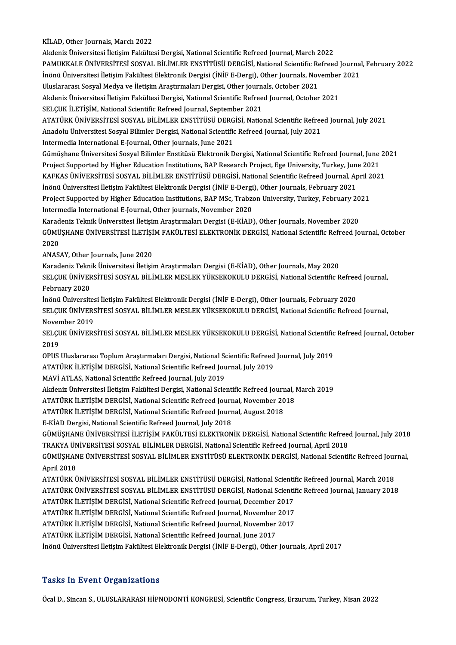KİLAD, Other Journals, March 2022

AkdenizÜniversitesi İletişimFakültesiDergisi,NationalScientificRefreed Journal,March 2022 KİLAD, Other Journals, March 2022<br>Akdeniz Üniversitesi İletişim Fakültesi Dergisi, National Scientific Refreed Journal, March 2022<br>PAMUKKALE ÜNİVERSİTESİ SOSYAL BİLİMLER ENSTİTÜSÜ DERGİSİ, National Scientific Refreed Journ Akdeniz Üniversitesi İletişim Fakültesi Dergisi, National Scientific Refreed Journal, March 2022<br>PAMUKKALE ÜNİVERSİTESİ SOSYAL BİLİMLER ENSTİTÜSÜ DERGİSİ, National Scientific Refreed Journal<br>İnönü Üniversitesi İletişim Fak PAMUKKALE ÜNIVERSITESI SOSYAL BILIMLER ENSTITÜSÜ DERGISI, National Scientific Re<br>İnönü Üniversitesi İletişim Fakültesi Elektronik Dergisi (İNİF E-Dergi), Other Journals, Nov<br>Uluslararası Sosyal Medya ve İletişim Araştırmal İnönü Üniversitesi İletişim Fakültesi Elektronik Dergisi (İNİF E-Dergi), Other Journals, November 2021<br>Uluslararası Sosyal Medya ve İletişim Araştırmaları Dergisi, Other journals, October 2021<br>Akdeniz Üniversitesi İletişim Uluslararası Sosyal Medya ve İletişim Araştırmaları Dergisi, Other journals, October 2021 Akdeniz Üniversitesi İletişim Fakültesi Dergisi, National Scientific Refreed Journal, October 2021<br>SELÇUK İLETİŞİM, National Scientific Refreed Journal, September 2021<br>ATATÜRK ÜNİVERSİTESİ SOSYAL BİLİMLER ENSTİTÜSÜ DERGİSİ SELÇUK İLETİŞİM, National Scientific Refreed Journal, September 2021<br>ATATÜRK ÜNİVERSİTESİ SOSYAL BİLİMLER ENSTİTÜSÜ DERGİSİ, National Scientific Refree<br>Anadolu Üniversitesi Sosyal Bilimler Dergisi, National Scientific Refr Anadolu Üniversitesi Sosyal Bilimler Dergisi, National Scientific Refreed Journal, July 2021<br>Intermedia International E-Journal, Other journals, June 2021 Anadolu Üniversitesi Sosyal Bilimler Dergisi, National Scientific Refreed Journal, July 2021<br>Intermedia International E-Journal, Other journals, June 2021<br>Gümüşhane Üniversitesi Sosyal Bilimler Enstitüsü Elektronik Dergisi Intermedia International E-Journal, Other journals, June 2021<br>Gümüşhane Üniversitesi Sosyal Bilimler Enstitüsü Elektronik Dergisi, National Scientific Refreed Journal, June<br>Project Supported by Higher Education Institution Gümüşhane Üniversitesi Sosyal Bilimler Enstitüsü Elektronik Dergisi, National Scientific Refreed Journal, June 20<br>Project Supported by Higher Education Institutions, BAP Research Project, Ege University, Turkey, June 2021<br> Project Supported by Higher Education Institutions, BAP Research Project, Ege University, Turkey, Jun<br>KAFKAS ÜNIVERSİTESİ SOSYAL BİLİMLER ENSTİTÜSÜ DERGİSİ, National Scientific Refreed Journal, Ap<br>İnönü Üniversitesi İletiş KAFKAS ÜNİVERSİTESİ SOSYAL BİLİMLER ENSTİTÜSÜ DERGİSİ, National Scientific Refreed Journal, April 2<br>İnönü Üniversitesi İletişim Fakültesi Elektronik Dergisi (İNİF E-Dergi), Other Journals, February 2021<br>Project Supported b İnönü Üniversitesi İletişim Fakültesi Elektronik Dergisi (İNİF E-Dergi<br>Project Supported by Higher Education Institutions, BAP MSc, Trabzo<br>Intermedia International E-Journal, Other journals, November 2020<br>Karadanir Telmik Project Supported by Higher Education Institutions, BAP MSc, Trabzon University, Turkey, February 2021<br>Intermedia International E-Journal, Other journals, November 2020 Intermedia International E-Journal, Other journals, November 2020<br>Karadeniz Teknik Üniversitesi İletişim Araştırmaları Dergisi (E-KİAD), Other Journals, November 2020<br>GÜMÜŞHANE ÜNİVERSİTESİ İLETİŞİM FAKÜLTESİ ELEKTRONİK DE Karadeniz Teknik Üniversitesi İletişim Araştırmaları Dergisi (E-KİAD), Other Journals, November 2020<br>GÜMÜŞHANE ÜNİVERSİTESİ İLETİŞİM FAKÜLTESİ ELEKTRONİK DERGİSİ, National Scientific Refreed Jo<br>2020<br>ANASAY, Other Journals, GÜMÜŞHANE ÜNİVERSİTESİ İLETİŞİ<br>2020<br>ANASAY, Other Journals, June 2020<br>Karadariz Telmik Üniversitesi İletisi 2020<br>ANASAY, Other Journals, June 2020<br>Karadeniz Teknik Üniversitesi İletişim Araştırmaları Dergisi (E-KİAD), Other Journals, May 2020<br>SELCUK ÜNİVERSİTESI SOSYAL RİLİMLER MESLEK YÜKSEKOKULU DERCİSİ National Scientific B SELÇUK ÜNİVERSİTESİ SOSYAL BİLİMLER MESLEK YÜKSEKOKULU DERGİSİ, National Scientific Refreed Journal,<br>February 2020 Karadeniz Tekni<br>SELÇUK ÜNİVEF<br>February 2020<br>İnönü Üniversit SELÇUK ÜNIVERSİTESİ SOSYAL BİLİMLER MESLEK YÜKSEKOKULU DERGİSİ, National Scientific Refree<br>February 2020<br>İnönü Üniversitesi İletişim Fakültesi Elektronik Dergisi (İNİF E-Dergi), Other Journals, February 2020<br>SELCUK ÜNİVERS SELÇUK ÜNİVERSİTESİ SOSYAL BİLİMLER MESLEK YÜKSEKOKULU DERGİSİ, National Scientific Refreed Journal,<br>November 2019 İnönü Üniversites<br>SELÇUK ÜNİVERS<br>November 2019<br>SELCUK ÜNİVERS SELÇUK ÜNİVERSİTESİ SOSYAL BİLİMLER MESLEK YÜKSEKOKULU DERGİSİ, National Scientific Refreed Journal,<br>November 2019<br>SELÇUK ÜNİVERSİTESİ SOSYAL BİLİMLER MESLEK YÜKSEKOKULU DERGİSİ, National Scientific Refreed Journal, Octobe Nover<br>SELÇU<br>2019<br>OPUS SELÇUK ÜNİVERSİTESİ SOSYAL BİLİMLER MESLEK YÜKSEKOKULU DERGİSİ, National Scientific<br>2019<br>OPUS Uluslararası Toplum Araştırmaları Dergisi, National Scientific Refreed Journal, July 2019<br>ATATÜPK İLETİSİM DERÇİSI National Scie 2019<br>OPUS Uluslararası Toplum Araştırmaları Dergisi, National Scientific Refreed<br>ATATÜRK İLETİŞİM DERGİSİ, National Scientific Refreed Journal, July 2019<br>MAVİ ATLAS National Scientific Refreed Journal, July 2019 OPUS Uluslararası Toplum Araştırmaları Dergisi, National Schaft<br>ATATÜRK İLETİŞİM DERGİSİ, National Scientific Refreed Journal, July<br>2019<br>Akdanir Üniversitesi İletisim Fakültesi Dergisi, National Scien ATATÜRK İLETİŞİM DERGİSİ, National Scientific Refreed Journal, July 2019<br>MAVİ ATLAS, National Scientific Refreed Journal, July 2019<br>Akdeniz Üniversitesi İletişim Fakültesi Dergisi, National Scientific Refreed Journal, Marc MAVİ ATLAS, National Scientific Refreed Journal, July 2019<br>Akdeniz Üniversitesi İletişim Fakültesi Dergisi, National Scientific Refreed Journal, I<br>ATATÜRK İLETİŞİM DERGİSİ, National Scientific Refreed Journal, November 201 Akdeniz Üniversitesi İletişim Fakültesi Dergisi, National Scientific Refreed Journ<br>ATATÜRK İLETİŞİM DERGİSİ, National Scientific Refreed Journal, November 20<br>ATATÜRK İLETİŞİM DERGİSİ, National Scientific Refreed Journal, A ATATÜRK İLETİŞİM DERGİSİ, National Scientific Refreed Journal, November 2018<br>ATATÜRK İLETİŞİM DERGİSİ, National Scientific Refreed Journal, August 2018<br>E-KİAD Dergisi, National Scientific Refreed Journal, July 2018 GÜMÜŞHANEÜNİVERSİTESİ İLETİŞİMFAKÜLTESİELEKTRONİKDERGİSİ,NationalScientificRefreed Journal, July2018 E-KİAD Dergisi, National Scientific Refreed Journal, July 2018<br>GÜMÜŞHANE ÜNİVERSİTESİ İLETİŞİM FAKÜLTESİ ELEKTRONİK DERGİSİ, National Scientific Refree<br>TRAKYA ÜNİVERSİTESİ SOSYAL BİLİMLER DERGİSİ, National Scientific Refre GÜMÜŞHANE ÜNİVERSİTESİ İLETİŞİM FAKÜLTESİ ELEKTRONİK DERGİSİ, National Scientific Refreed Journal, July 2018<br>TRAKYA ÜNİVERSİTESİ SOSYAL BİLİMLER DERGİSİ, National Scientific Refreed Journal, April 2018<br>GÜMÜŞHANE ÜNİVERSİTE TRAKYA ÜN<br>GÜMÜŞHAN<br>April 2018<br>ATATÜPK Ü GÜMÜŞHANE ÜNİVERSİTESİ SOSYAL BİLİMLER ENSTİTÜSÜ ELEKTRONİK DERGİSİ, National Scientific Refreed Jour<br>April 2018<br>ATATÜRK ÜNİVERSİTESİ SOSYAL BİLİMLER ENSTİTÜSÜ DERGİSİ, National Scientific Refreed Journal, March 2018<br>ATATÜ April 2018<br>ATATÜRK ÜNİVERSİTESİ SOSYAL BİLİMLER ENSTİTÜSÜ DERGİSİ, National Scientific Refreed Journal, March 2018<br>ATATÜRK ÜNİVERSİTESİ SOSYAL BİLİMLER ENSTİTÜSÜ DERGİSİ, National Scientific Refreed Journal, January 2018<br>A ATATÜRK ÜNİVERSİTESİ SOSYAL BİLİMLER ENSTİTÜSÜ DERGİSİ, National Scienti<br>ATATÜRK ÜNİVERSİTESİ SOSYAL BİLİMLER ENSTİTÜSÜ DERGİSİ, National Scienti<br>ATATÜRK İLETİŞİM DERGİSİ, National Scientific Refreed Journal, December 2017 ATATÜRK ÜNİVERSİTESİ SOSYAL BİLİMLER ENSTİTÜSÜ DERGİSİ, National Scientif<br>ATATÜRK İLETİŞİM DERGİSİ, National Scientific Refreed Journal, December 2017<br>ATATÜRK İLETİŞİM DERGİSİ, National Scientific Refreed Journal, November ATATÜRK İLETİŞİM DERGİSİ, National Scientific Refreed Journal, December 2017<br>ATATÜRK İLETİŞİM DERGİSİ, National Scientific Refreed Journal, November 2017<br>ATATÜRK İLETİŞİM DERGİSİ, National Scientific Refreed Journal, Novem ATATÜRK İLETİŞİM DERGİSİ, National Scientific Refreed Journal, November<br>ATATÜRK İLETİŞİM DERGİSİ, National Scientific Refreed Journal, November<br>ATATÜRK İLETİŞİM DERGİSİ, National Scientific Refreed Journal, June 2017<br>İnönü ATATÜRK İLETİŞİM DERGİSİ, National Scientific Refreed Journal, November 2017<br>ATATÜRK İLETİŞİM DERGİSİ, National Scientific Refreed Journal, June 2017<br>İnönü Üniversitesi İletişim Fakültesi Elektronik Dergisi (İNİF E-Dergi),

## **Tasks In Event Organizations**

Öcal D., Sincan S., ULUSLARARASI HİPNODONTİ KONGRESİ, Scientific Congress, Erzurum, Turkey, Nisan 2022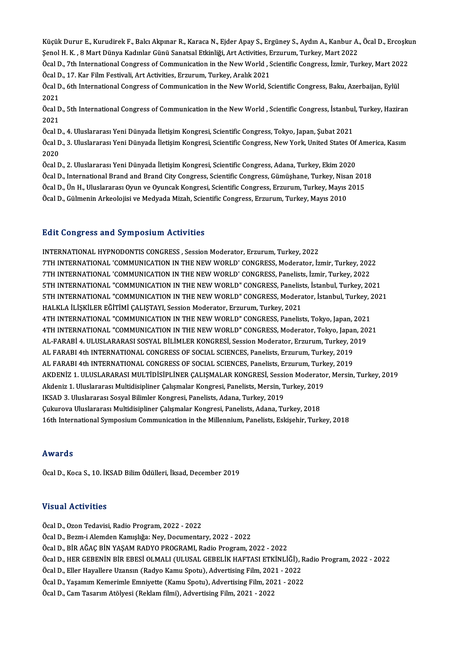Küçük Durur E., Kurudirek F., Balcı Akpınar R., Karaca N., Ejder Apay S., Ergüney S., Aydın A., Kanbur A., Öcal D., Ercoşkun<br>Sanal H. K., 8 Mart Dünya Kadınlar Günü Sanatçal Etkinliği, Art Activities, Ergunum, Turkay, Mart Küçük Durur E., Kurudirek F., Balcı Akpınar R., Karaca N., Ejder Apay S., Ergüney S., Aydın A., Kanbur A.<br>Şenol H. K. , 8 Mart Dünya Kadınlar Günü Sanatsal Etkinliği, Art Activities, Erzurum, Turkey, Mart 2022<br>Öqel D. 7th Küçük Durur E., Kurudirek F., Balcı Akpınar R., Karaca N., Ejder Apay S., Ergüney S., Aydın A., Kanbur A., Öcal D., Ercoşkı<br>Şenol H. K. , 8 Mart Dünya Kadınlar Günü Sanatsal Etkinliği, Art Activities, Erzurum, Turkey, Mart Şenol H. K. , 8 Mart Dünya Kadınlar Günü Sanatsal Etkinliği, Art Activities, Erzurum, Turkey, Mart 2022<br>Öcal D., 7th International Congress of Communication in the New World , Scientific Congress, İzmir, Turkey, Mart 2022

Öcal D., 17. Kar Film Festivali, Art Activities, Erzurum, Turkey, Aralık 2021

Öcal D., 6th International Congress of Communication in the New World, Scientific Congress, Baku, Azerbaijan, Eylül<br>2021 Öcal D., 6th International Congress of Communication in the New World, Scientific Congress, Baku, Azerbaijan, Eylül<br>2021<br>Öcal D., 5th International Congress of Communication in the New World , Scientific Congress, İstanbul

2021<br>Öcal D<br>2021<br>Öcal D Öcal D., 5th International Congress of Communication in the New World , Scientific Congress, İstanbul<br>2021<br>Öcal D., 4. Uluslararası Yeni Dünyada İletişim Kongresi, Scientific Congress, Tokyo, Japan, Şubat 2021<br>Öcal D., 3.

2021<br>Öcal D., 4. Uluslararası Yeni Dünyada İletişim Kongresi, Scientific Congress, Tokyo, Japan, Şubat 2021<br>Öcal D., 3. Uluslararası Yeni Dünyada İletişim Kongresi, Scientific Congress, New York, United States Of America, Öcal D<br>Öcal D<br>2020<br>Öcal D Öcal D., 3. Uluslararası Yeni Dünyada İletişim Kongresi, Scientific Congress, New York, United States Of<br>2020<br>Öcal D., 2. Uluslararası Yeni Dünyada İletişim Kongresi, Scientific Congress, Adana, Turkey, Ekim 2020<br>Öcal D.,

2020<br>Öcal D., 2. Uluslararası Yeni Dünyada İletişim Kongresi, Scientific Congress, Adana, Turkey, Ekim 2020<br>Öcal D., International Brand and Brand City Congress, Scientific Congress, Gümüşhane, Turkey, Nisan 2018

Öcal D., 2. Uluslararası Yeni Dünyada İletişim Kongresi, Scientific Congress, Adana, Turkey, Ekim 2020<br>Öcal D., International Brand and Brand City Congress, Scientific Congress, Gümüşhane, Turkey, Nisan 201<br>Öcal D., Ün H., Öcal D., International Brand and Brand City Congress, Scientific Congress, Gümüşhane, Turkey, Nisa<br>Öcal D., Ün H., Uluslararası Oyun ve Oyuncak Kongresi, Scientific Congress, Erzurum, Turkey, Mayıs<br>Öcal D., Gülmenin Arkeol

Öcal D., Gülmenin Arkeolojisi ve Medyada Mizah, Scientific Congress, Erzurum, Turkey, Mayıs 2010<br>Edit Congress and Symposium Activities

INTERNATIONAL HYPNODONTIS CONGRESS, Session Moderator, Erzurum, Turkey, 2022 2012 SONG. 600 MM OJ MPOOMM NORVICOS<br>INTERNATIONAL HYPNODONTIS CONGRESS , Session Moderator, Erzurum, Turkey, 2022<br>7TH INTERNATIONAL 'COMMUNICATION IN THE NEW WORLD' CONGRESS, Moderator, İzmir, Turkey, 2022<br>7TH INTERNATION INTERNATIONAL HYPNODONTIS CONGRESS , Session Moderator, Erzurum, Turkey, 2022<br>7TH INTERNATIONAL 'COMMUNICATION IN THE NEW WORLD' CONGRESS, Moderator, İzmir, Turkey, 202<br>7TH INTERNATIONAL 'COMMUNICATION IN THE NEW WORLD' CO 7TH INTERNATIONAL 'COMMUNICATION IN THE NEW WORLD' CONGRESS, Moderator, İzmir, Turkey, 2022<br>7TH INTERNATIONAL 'COMMUNICATION IN THE NEW WORLD' CONGRESS, Panelists, İzmir, Turkey, 2022<br>5TH INTERNATIONAL "COMMUNICATION IN TH 7TH INTERNATIONAL 'COMMUNICATION IN THE NEW WORLD' CONGRESS, Panelists, İzmir, Turkey, 2022<br>5TH INTERNATIONAL "COMMUNICATION IN THE NEW WORLD" CONGRESS, Panelists, İstanbul, Turkey, 2021<br>5TH INTERNATIONAL "COMMUNICATION IN 5TH INTERNATIONAL "COMMUNICATION IN THE NEW WORLD" CONGRESS, Panelist<br>5TH INTERNATIONAL "COMMUNICATION IN THE NEW WORLD" CONGRESS, Modera<br>HALKLA İLİŞKİLER EĞİTİMİ ÇALIŞTAYI, Session Moderator, Erzurum, Turkey, 2021<br>4TH INT 5TH INTERNATIONAL "COMMUNICATION IN THE NEW WORLD" CONGRESS, Moderator, İstanbul, Turkey, 2<br>HALKLA İLİŞKİLER EĞİTİMİ ÇALIŞTAYI, Session Moderator, Erzurum, Turkey, 2021<br>4TH INTERNATIONAL "COMMUNICATION IN THE NEW WORLD" CO HALKLA İLİŞKİLER EĞİTİMİ ÇALIŞTAYI, Session Moderator, Erzurum, Turkey, 2021<br>4TH INTERNATIONAL "COMMUNICATION IN THE NEW WORLD" CONGRESS, Panelists, Tokyo, Japan, 2021<br>4TH INTERNATIONAL "COMMUNICATION IN THE NEW WORLD" CON 4TH INTERNATIONAL "COMMUNICATION IN THE NEW WORLD" CONGRESS, Panelists, Tokyo, Japan, 2021<br>4TH INTERNATIONAL "COMMUNICATION IN THE NEW WORLD" CONGRESS, Moderator, Tokyo, Japan, 20<br>AL-FARABİ 4. ULUSLARARASI SOSYAL BİLİMLER 4TH INTERNATIONAL "COMMUNICATION IN THE NEW WORLD" CONGRESS, Moderator, Tokyo, Japan<br>AL-FARABI 4. ULUSLARARASI SOSYAL BILIMLER KONGRESI, Session Moderator, Erzurum, Turkey, 20<br>AL FARABI 4th INTERNATIONAL CONGRESS OF SOCIAL AL-FARABİ 4. ULUSLARARASI SOSYAL BİLİMLER KONGRESİ, Session Moderator, Erzurum, Turkey, 20<br>AL FARABI 4th INTERNATIONAL CONGRESS OF SOCIAL SCIENCES, Panelists, Erzurum, Turkey, 2019<br>AL FARABI 4th INTERNATIONAL CONGRESS OF S AL FARABI 4th INTERNATIONAL CONGRESS OF SOCIAL SCIENCES, Panelists, Erzurum, Turkey, 2019<br>AL FARABI 4th INTERNATIONAL CONGRESS OF SOCIAL SCIENCES, Panelists, Erzurum, Turkey, 2019<br>AKDENİZ 1. ULUSLARARASI MULTİDİSİPLİNER ÇA AL FARABI 4th INTERNATIONAL CONGRESS OF SOCIAL SCIENCES, Panelists, Erzurum, Turk<br>AKDENIZ 1. ULUSLARARASI MULTIDISIPLINER ÇALIŞMALAR KONGRESI, Session Moderato<br>Akdeniz 1. Uluslararası Multidisipliner Çalışmalar Kongresi, P AKDENİZ 1. ULUSLARARASI MULTİDİSİPLİNER ÇALIŞMALAR KONGRESİ, Sessi<br>Akdeniz 1. Uluslararası Multidisipliner Çalışmalar Kongresi, Panelists, Mersin, T<br>IKSAD 3. Uluslararası Sosyal Bilimler Kongresi, Panelists, Adana, Turkey, Akdeniz 1. Uluslararası Multidisipliner Çalışmalar Kongresi, Panelists, Mersin, Turkey, 2019<br>IKSAD 3. Uluslararası Sosyal Bilimler Kongresi, Panelists, Adana, Turkey, 2019<br>Çukurova Uluslararası Multidisipliner Çalışmalar K 16th International Symposium Communication in the Millennium, Panelists, Eskişehir, Turkey, 2018

## Awards

Öcal D., Koca S., 10. İKSAD Bilim Ödülleri, İksad, December 2019

## Visual Activities

ÖcalD.,OzonTedavisi,Radio Program,2022 -2022 ÖcalD.,Bezm-iAlemdenKamışlığa:Ney,Documentary,2022 -2022 Öcal D., Ozon Tedavisi, Radio Program, 2022 - 2022<br>Öcal D., Bezm-i Alemden Kamışlığa: Ney, Documentary, 2022 - 2022<br>Öcal D., BİR AĞAÇ BİN YAŞAM RADYO PROGRAMI, Radio Program, 2022 - 2022<br>Öcal D., HED GERENİN BİR ERESİ OLMA Öcal D., HER GEBENİN BİR EBESİ OLMALI (ULUSAL GEBELİK HAFTASI ETKİNLİĞİ), Radio Program, 2022 - 2022<br>Öcal D., Eller Hayallere Uzansın (Radyo Kamu Spotu), Advertising Film, 2021 - 2022 Öcal D., BİR AĞAÇ BİN YAŞAM RADYO PROGRAMI, Radio Program, 2022 - 2022<br>Öcal D., HER GEBENİN BİR EBESİ OLMALI (ULUSAL GEBELİK HAFTASI ETKİNLİĞİ), I<br>Öcal D., Eller Hayallere Uzansın (Radyo Kamu Spotu), Advertising Film, 2021 Öcal D., HER GEBENİN BİR EBESİ OLMALI (ULUSAL GEBELİK HAFTASI ETKİNLİĞİ), R<br>Öcal D., Eller Hayallere Uzansın (Radyo Kamu Spotu), Advertising Film, 2021 - 2022<br>Öcal D., Yaşamım Kemerimle Emniyette (Kamu Spotu), Advertising Öcal D., Eller Hayallere Uzansın (Radyo Kamu Spotu), Advertising Film, 202<br>Öcal D., Yaşamım Kemerimle Emniyette (Kamu Spotu), Advertising Film, 20:<br>Öcal D., Cam Tasarım Atölyesi (Reklam filmi), Advertising Film, 2021 - 202